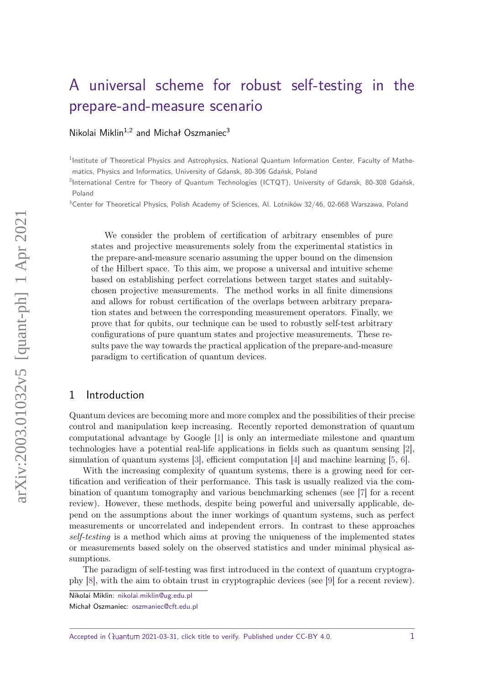# [A universal scheme for robust self-testing in the](https://quantum-journal.org/?s=A%20universal%20scheme%20for%20robust%20self-testing%20in%20the%20prepare-and-measure%20scenario&reason=title-click) [prepare-and-measure scenario](https://quantum-journal.org/?s=A%20universal%20scheme%20for%20robust%20self-testing%20in%20the%20prepare-and-measure%20scenario&reason=title-click)

[Nikolai Miklin](https://orcid.org/0000-0001-8046-382X)<sup>1,2</sup> and Michał Oszmaniec<sup>3</sup>

<sup>1</sup>Institute of Theoretical Physics and Astrophysics, National Quantum Information Center, Faculty of Mathematics, Physics and Informatics, University of Gdansk, 80-306 Gdańsk, Poland

<sup>2</sup>International Centre for Theory of Quantum Technologies (ICTQT), University of Gdansk, 80-308 Gdańsk, Poland

 $3$ Center for Theoretical Physics, Polish Academy of Sciences, Al. Lotników 32/46, 02-668 Warszawa, Poland

We consider the problem of certification of arbitrary ensembles of pure states and projective measurements solely from the experimental statistics in the prepare-and-measure scenario assuming the upper bound on the dimension of the Hilbert space. To this aim, we propose a universal and intuitive scheme based on establishing perfect correlations between target states and suitablychosen projective measurements. The method works in all finite dimensions and allows for robust certification of the overlaps between arbitrary preparation states and between the corresponding measurement operators. Finally, we prove that for qubits, our technique can be used to robustly self-test arbitrary configurations of pure quantum states and projective measurements. These results pave the way towards the practical application of the prepare-and-measure paradigm to certification of quantum devices.

## 1 Introduction

Quantum devices are becoming more and more complex and the possibilities of their precise control and manipulation keep increasing. Recently reported demonstration of quantum computational advantage by Google [\[1\]](#page-25-0) is only an intermediate milestone and quantum technologies have a potential real-life applications in fields such as quantum sensing [\[2\]](#page-25-1), simulation of quantum systems [\[3\]](#page-25-2), efficient computation [\[4\]](#page-25-3) and machine learning [\[5,](#page-25-4) [6\]](#page-25-5).

With the increasing complexity of quantum systems, there is a growing need for certification and verification of their performance. This task is usually realized via the combination of quantum tomography and various benchmarking schemes (see [\[7\]](#page-25-6) for a recent review). However, these methods, despite being powerful and universally applicable, depend on the assumptions about the inner workings of quantum systems, such as perfect measurements or uncorrelated and independent errors. In contrast to these approaches self-testing is a method which aims at proving the uniqueness of the implemented states or measurements based solely on the observed statistics and under minimal physical assumptions.

The paradigm of self-testing was first introduced in the context of quantum cryptography [\[8\]](#page-25-7), with the aim to obtain trust in cryptographic devices (see [\[9\]](#page-25-8) for a recent review).

Nikolai Miklin: [nikolai.miklin@ug.edu.pl](mailto:nikolai.miklin@ug.edu.pl)

Michał Oszmaniec: [oszmaniec@cft.edu.pl](mailto:oszmaniec@cft.edu.pl)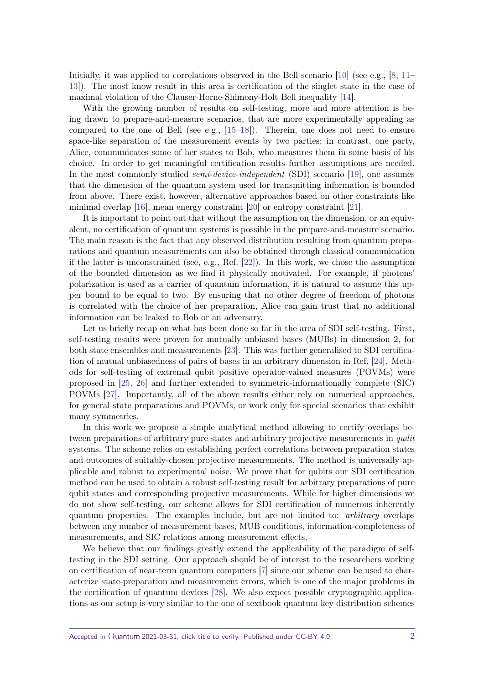Initially, it was applied to correlations observed in the Bell scenario [\[10\]](#page-25-9) (see e.g., [\[8,](#page-25-7) [11–](#page-25-10) [13\]](#page-25-11)). The most know result in this area is certification of the singlet state in the case of maximal violation of the Clauser-Horne-Shimony-Holt Bell inequality [\[14\]](#page-26-0).

With the growing number of results on self-testing, more and more attention is being drawn to prepare-and-measure scenarios, that are more experimentally appealing as compared to the one of Bell (see e.g., [\[15–](#page-26-1)[18\]](#page-26-2)). Therein, one does not need to ensure space-like separation of the measurement events by two parties; in contrast, one party, Alice, communicates some of her states to Bob, who measures them in some basis of his choice. In order to get meaningful certification results further assumptions are needed. In the most commonly studied *semi-device-independent* (SDI) scenario [\[19\]](#page-26-3), one assumes that the dimension of the quantum system used for transmitting information is bounded from above. There exist, however, alternative approaches based on other constraints like minimal overlap [\[16\]](#page-26-4), mean energy constraint [\[20\]](#page-26-5) or entropy constraint [\[21\]](#page-26-6).

It is important to point out that without the assumption on the dimension, or an equivalent, no certification of quantum systems is possible in the prepare-and-measure scenario. The main reason is the fact that any observed distribution resulting from quantum preparations and quantum measurements can also be obtained through classical communication if the latter is unconstrained (see, e.g., Ref. [\[22\]](#page-26-7)). In this work, we chose the assumption of the bounded dimension as we find it physically motivated. For example, if photons' polarization is used as a carrier of quantum information, it is natural to assume this upper bound to be equal to two. By ensuring that no other degree of freedom of photons is correlated with the choice of her preparation, Alice can gain trust that no additional information can be leaked to Bob or an adversary.

Let us briefly recap on what has been done so far in the area of SDI self-testing. First, self-testing results were proven for mutually unbiased bases (MUBs) in dimension 2, for both state ensembles and measurements [\[23\]](#page-26-8). This was further generalised to SDI certification of mutual unbiasedness of pairs of bases in an arbitrary dimension in Ref. [\[24\]](#page-26-9). Methods for self-testing of extremal qubit positive operator-valued measures (POVMs) were proposed in [\[25,](#page-26-10) [26\]](#page-26-11) and further extended to symmetric-informationally complete (SIC) POVMs [\[27\]](#page-26-12). Importantly, all of the above results either rely on numerical approaches, for general state preparations and POVMs, or work only for special scenarios that exhibit many symmetries.

In this work we propose a simple analytical method allowing to certify overlaps between preparations of arbitrary pure states and arbitrary projective measurements in *qudit* systems. The scheme relies on establishing perfect correlations between preparation states and outcomes of suitably-chosen projective measurements. The method is universally applicable and robust to experimental noise. We prove that for qubits our SDI certification method can be used to obtain a robust self-testing result for arbitrary preparations of pure qubit states and corresponding projective measurements. While for higher dimensions we do not show self-testing, our scheme allows for SDI certification of numerous inherently quantum properties. The examples include, but are not limited to: arbitrary overlaps between any number of measurement bases, MUB conditions, information-completeness of measurements, and SIC relations among measurement effects.

We believe that our findings greatly extend the applicability of the paradigm of selftesting in the SDI setting. Our approach should be of interest to the researchers working on certification of near-term quantum computers [\[7\]](#page-25-6) since our scheme can be used to characterize state-preparation and measurement errors, which is one of the major problems in the certification of quantum devices [\[28\]](#page-26-13). We also expect possible cryptographic applications as our setup is very similar to the one of textbook quantum key distribution schemes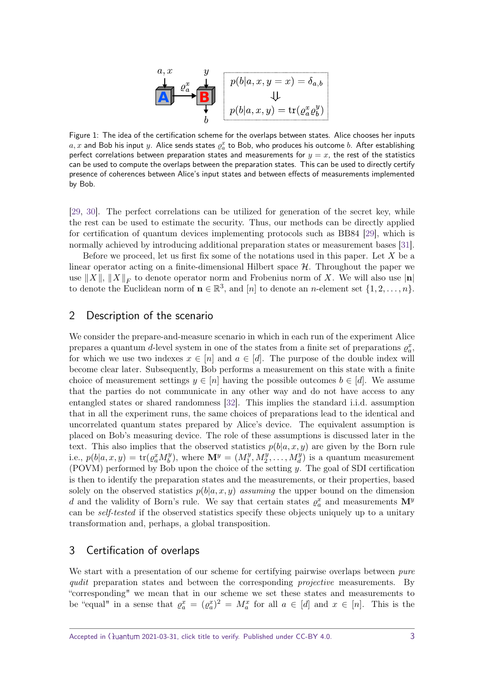$$
\begin{array}{c}\na, x \quad y \\
\downarrow \\
\hline\n\end{array}\n\qquad\n\begin{array}{c}\n\downarrow \\
p(b|a, x, y = x) = \delta_{a,b} \\
\downarrow \\
p(b|a, x, y) = \text{tr}(\varrho_a^x \varrho_b^y)\n\end{array}
$$

<span id="page-2-0"></span>Figure 1: The idea of the certification scheme for the overlaps between states. Alice chooses her inputs  $a,x$  and Bob his input  $y$ . Alice sends states  $\varrho^x_a$  to Bob, who produces his outcome  $b$ . After establishing perfect correlations between preparation states and measurements for  $y = x$ , the rest of the statistics can be used to compute the overlaps between the preparation states. This can be used to directly certify presence of coherences between Alice's input states and between effects of measurements implemented by Bob.

[\[29,](#page-26-14) [30\]](#page-26-15). The perfect correlations can be utilized for generation of the secret key, while the rest can be used to estimate the security. Thus, our methods can be directly applied for certification of quantum devices implementing protocols such as BB84 [\[29\]](#page-26-14), which is normally achieved by introducing additional preparation states or measurement bases [\[31\]](#page-26-16).

Before we proceed, let us first fix some of the notations used in this paper. Let *X* be a linear operator acting on a finite-dimensional Hilbert space  $H$ . Throughout the paper we use  $||X||$ ,  $||X||_F$  to denote operator norm and Frobenius norm of X. We will also use  $|\mathbf{n}|$ to denote the Euclidean norm of  $\mathbf{n} \in \mathbb{R}^3$ , and  $[n]$  to denote an *n*-element set  $\{1, 2, \ldots, n\}$ .

# 2 Description of the scenario

We consider the prepare-and-measure scenario in which in each run of the experiment Alice prepares a quantum *d*-level system in one of the states from a finite set of preparations  $\varrho_a^x$ , for which we use two indexes  $x \in [n]$  and  $a \in [d]$ . The purpose of the double index will become clear later. Subsequently, Bob performs a measurement on this state with a finite choice of measurement settings  $y \in [n]$  having the possible outcomes  $b \in [d]$ . We assume that the parties do not communicate in any other way and do not have access to any entangled states or shared randomness [\[32\]](#page-27-0). This implies the standard i.i.d. assumption that in all the experiment runs, the same choices of preparations lead to the identical and uncorrelated quantum states prepared by Alice's device. The equivalent assumption is placed on Bob's measuring device. The role of these assumptions is discussed later in the text. This also implies that the observed statistics  $p(b|a, x, y)$  are given by the Born rule i.e.,  $p(b|a, x, y) = \text{tr}(\varrho_a^x M_b^y)$  $b^{y}$ , where  $\mathbf{M}^{y} = (M^{y}_{1})^{y}$  $\frac{y}{1}, M_2^y, \ldots, M_d^y$  is a quantum measurement (POVM) performed by Bob upon the choice of the setting *y*. The goal of SDI certification is then to identify the preparation states and the measurements, or their properties, based solely on the observed statistics  $p(b|a, x, y)$  assuming the upper bound on the dimension *d* and the validity of Born's rule. We say that certain states  $\varrho_a^x$  and measurements  $\mathbf{M}^y$ can be self-tested if the observed statistics specify these objects uniquely up to a unitary transformation and, perhaps, a global transposition.

# 3 Certification of overlaps

We start with a presentation of our scheme for certifying pairwise overlaps between *pure* qudit preparation states and between the corresponding *projective* measurements. By "corresponding" we mean that in our scheme we set these states and measurements to be "equal" in a sense that  $\varrho_a^x = (\varrho_a^x)^2 = M_a^x$  for all  $a \in [d]$  and  $x \in [n]$ . This is the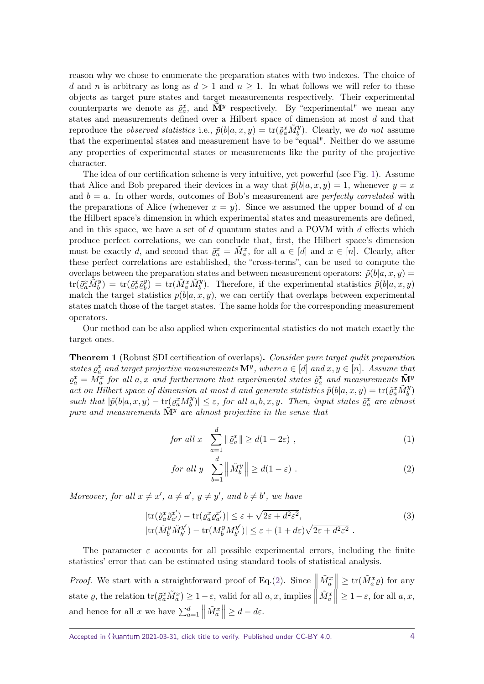reason why we chose to enumerate the preparation states with two indexes. The choice of *d* and *n* is arbitrary as long as  $d > 1$  and  $n \ge 1$ . In what follows we will refer to these objects as target pure states and target measurements respectively. Their experimental counterparts we denote as  $\tilde{\varrho}_a^x$ , and  $\tilde{M}^y$  respectively. By "experimental" we mean any states and measurements defined over a Hilbert space of dimension at most *d* and that reproduce the *observed statistics* i.e.,  $\tilde{p}(b|a,x,y) = \text{tr}(\tilde{g}_a^x \tilde{M}_b^y)$ . Clearly, we do not assume that the experimental states and measurement have to be "equal". Neither do we assume any properties of experimental states or measurements like the purity of the projective character.

The idea of our certification scheme is very intuitive, yet powerful (see Fig. [1\)](#page-2-0). Assume that Alice and Bob prepared their devices in a way that  $\tilde{p}(b|a, x, y) = 1$ , whenever  $y = x$ and  $b = a$ . In other words, outcomes of Bob's measurement are *perfectly correlated* with the preparations of Alice (whenever  $x = y$ ). Since we assumed the upper bound of *d* on the Hilbert space's dimension in which experimental states and measurements are defined, and in this space, we have a set of *d* quantum states and a POVM with *d* effects which produce perfect correlations, we can conclude that, first, the Hilbert space's dimension must be exactly *d*, and second that  $\tilde{\varrho}_a^x = \tilde{M}_a^x$ , for all  $a \in [d]$  and  $x \in [n]$ . Clearly, after these perfect correlations are established, the "cross-terms", can be used to compute the overlaps between the preparation states and between measurement operators:  $\tilde{p}(b|a, x, y) =$  $\mathrm{tr}(\tilde{\varrho}_a^x \tilde{M}_b^y) \, = \, \mathrm{tr}(\tilde{\varrho}_a^x \tilde{\varrho}_b^y)$  $\phi_b^y$  = tr( $\tilde{M}_a^x \tilde{M}_b^y$ ). Therefore, if the experimental statistics  $\tilde{p}(b|a,x,y)$ match the target statistics  $p(b|a, x, y)$ , we can certify that overlaps between experimental states match those of the target states. The same holds for the corresponding measurement operators.

Our method can be also applied when experimental statistics do not match exactly the target ones.

<span id="page-3-2"></span>**Theorem 1** (Robust SDI certification of overlaps)**.** *Consider pure target qudit preparation states*  $\varrho_a^x$  *and target projective measurements*  $\mathbf{M}^y$ *, where*  $a \in [d]$  *and*  $x, y \in [n]$ *. Assume that*  $\varrho_a^x = M_a^x$  for all a, x and furthermore that experimental states  $\tilde{\varrho}_a^x$  and measurements  $\tilde{M}^y$  $\alpha$ *d act on Hilbert space of dimension at most <i>d* and generate statistics  $\tilde{p}(b|a, x, y) = \text{tr}(\tilde{g}_a^x \tilde{M}_b^y)$ *such that*  $|\tilde{p}(b|a, x, y) - \text{tr}(\varrho_a^x M_b^y)$  $|\psi_b^y\rangle| \leq \varepsilon$ , for all  $a, b, x, y$ *. Then, input states*  $\tilde{\varrho}_a^x$  are almost *pure and measurements*  $\tilde{M}^y$  *are almost projective in the sense that* 

<span id="page-3-0"></span>
$$
for all x \quad \sum_{a=1}^{d} \|\tilde{\varrho}_a^x\| \ge d(1 - 2\varepsilon) \tag{1}
$$

$$
\text{for all } y \quad \sum_{b=1}^{d} \left\| \tilde{M}_{b}^{y} \right\| \ge d(1 - \varepsilon) \tag{2}
$$

*Moreover, for all*  $x \neq x'$ ,  $a \neq a'$ ,  $y \neq y'$ , and  $b \neq b'$ , we have

<span id="page-3-1"></span>
$$
|\text{tr}(\tilde{\varrho}_a^x \tilde{\varrho}_{a'}^{x'}) - \text{tr}(\varrho_a^x \varrho_{a'}^{x'})| \leq \varepsilon + \sqrt{2\varepsilon + d^2\varepsilon^2},
$$
  
\n
$$
|\text{tr}(\tilde{M}_b^y \tilde{M}_{b'}^{y'}) - \text{tr}(M_b^y M_{b'}^{y'})| \leq \varepsilon + (1 + d\varepsilon)\sqrt{2\varepsilon + d^2\varepsilon^2}.
$$
\n(3)

The parameter  $\varepsilon$  accounts for all possible experimental errors, including the finite statistics' error that can be estimated using standard tools of statistical analysis.

*Proof.* We start with a straightforward proof of Eq.[\(2\)](#page-3-0). Since  $\left\| \tilde{M}_a^x \right\| \geq \text{tr}(\tilde{M}_a^x \varrho)$  for any  $\begin{bmatrix} 1 & a & b \\ c & d & d \end{bmatrix}$ state *g*, the relation  $\text{tr}(\tilde{\varrho}_a^x \tilde{M}_a^x) \ge 1 - \varepsilon$ , valid for all *a*, *x*, implies  $\left| \tilde{M}_{a}^{x} \right|$  $\vert \geq 1-\varepsilon$ , for all  $a, x$ , and hence for all *x* we have  $\sum_{a=1}^{d}$  $\left|\widetilde{M}_{a}^{x}\right|$  $\vert \geq d - d\varepsilon.$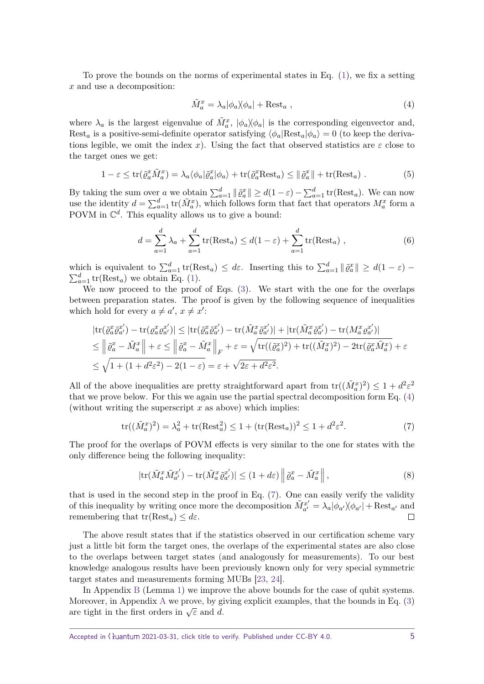To prove the bounds on the norms of experimental states in Eq. [\(1\)](#page-3-0), we fix a setting *x* and use a decomposition:

<span id="page-4-0"></span>
$$
\tilde{M}_a^x = \lambda_a |\phi_a \rangle \langle \phi_a| + \text{Rest}_a , \qquad (4)
$$

where  $\lambda_a$  is the largest eigenvalue of  $\tilde{M}_a^x$ ,  $|\phi_a\rangle\langle\phi_a|$  is the corresponding eigenvector and, Rest<sub>a</sub> is a positive-semi-definite operator satisfying  $\langle \phi_a | \text{Rest}_a | \phi_a \rangle = 0$  (to keep the derivations legible, we omit the index *x*). Using the fact that observed statistics are  $\varepsilon$  close to the target ones we get:

$$
1 - \varepsilon \le \text{tr}(\tilde{\varrho}_a^x \tilde{M}_a^x) = \lambda_a \langle \phi_a | \tilde{\varrho}_a^x | \phi_a \rangle + \text{tr}(\tilde{\varrho}_a^x \text{Rest}_a) \le ||\tilde{\varrho}_a^x|| + \text{tr}(\text{Rest}_a) . \tag{5}
$$

By taking the sum over *a* we obtain  $\sum_{a=1}^{d} ||\tilde{\varrho}_a^x|| \ge d(1-\varepsilon) - \sum_{a=1}^{d} \text{tr}(\text{Rest}_a)$ . We can now use the identity  $d = \sum_{a=1}^{d} tr(\tilde{M}_a^x)$ , which follows form that fact that operators  $M_a^x$  form a POVM in  $\mathbb{C}^d$ . This equality allows us to give a bound:

$$
d = \sum_{a=1}^{d} \lambda_a + \sum_{a=1}^{d} \text{tr}(\text{Rest}_a) \le d(1 - \varepsilon) + \sum_{a=1}^{d} \text{tr}(\text{Rest}_a) , \qquad (6)
$$

which is equivalent to  $\sum_{a=1}^{d} tr(Rest_a) \leq d\varepsilon$ . Inserting this to  $\sum_{a=1}^{d} ||\tilde{\varrho}_a^x|| \geq d(1-\varepsilon)$  $\sum_{a=1}^{d}$  tr(Rest<sub>a</sub>) we obtain Eq. [\(1\)](#page-3-0).

We now proceed to the proof of Eqs. [\(3\)](#page-3-1). We start with the one for the overlaps between preparation states. The proof is given by the following sequence of inequalities which hold for every  $a \neq a'$ ,  $x \neq x'$ :

<span id="page-4-1"></span>
$$
|\text{tr}(\tilde{\varrho}_a^x \tilde{\varrho}_{a'}^{x'}) - \text{tr}(\varrho_a^x \varrho_{a'}^{x'})| \leq |\text{tr}(\tilde{\varrho}_a^x \tilde{\varrho}_{a'}^{x'}) - \text{tr}(\tilde{M}_a^x \tilde{\varrho}_{a'}^{x'})| + |\text{tr}(\tilde{M}_a^x \tilde{\varrho}_{a'}^{x'}) - \text{tr}(M_a^x \varrho_{a'}^{x'})|
$$
  
\n
$$
\leq ||\tilde{\varrho}_a^x - \tilde{M}_a^x|| + \varepsilon \leq ||\tilde{\varrho}_a^x - \tilde{M}_a^x||_F + \varepsilon = \sqrt{\text{tr}((\tilde{\varrho}_a^x)^2) + \text{tr}((\tilde{M}_a^x)^2) - 2\text{tr}(\tilde{\varrho}_a^x \tilde{M}_a^x)} + \varepsilon
$$
  
\n
$$
\leq \sqrt{1 + (1 + d^2 \varepsilon^2) - 2(1 - \varepsilon)} = \varepsilon + \sqrt{2\varepsilon + d^2 \varepsilon^2}.
$$

All of the above inequalities are pretty straightforward apart from  $tr((\tilde{M}_a^x)^2) \leq 1 + d^2 \varepsilon^2$ that we prove below. For this we again use the partial spectral decomposition form Eq. [\(4\)](#page-4-0) (without writing the superscript *x* as above) which implies:

$$
\text{tr}((\tilde{M}_a^x)^2) = \lambda_a^2 + \text{tr}(\text{Rest}_a^2) \le 1 + (\text{tr}(\text{Rest}_a))^2 \le 1 + d^2 \varepsilon^2. \tag{7}
$$

The proof for the overlaps of POVM effects is very similar to the one for states with the only difference being the following inequality:

$$
|\text{tr}(\tilde{M}_a^x \tilde{M}_{a'}^{x'}) - \text{tr}(\tilde{M}_a^x \tilde{\varrho}_{a'}^{x'})| \le (1 + d\varepsilon) \left\| \tilde{\varrho}_a^x - \tilde{M}_a^x \right\|,
$$
\n(8)

that is used in the second step in the proof in Eq. [\(7\)](#page-4-1). One can easily verify the validity of this inequality by writing once more the decomposition  $\tilde{M}_{a'}^{x'}$  $a'_{a'} = \lambda_a |\phi_{a'}\rangle\langle\phi_{a'}| + \text{Rest}_{a'}$  and remembering that  $tr(Rest_a) \leq d\varepsilon$ .  $\Box$ 

The above result states that if the statistics observed in our certification scheme vary just a little bit form the target ones, the overlaps of the experimental states are also close to the overlaps between target states (and analogously for measurements). To our best knowledge analogous results have been previously known only for very special symmetric target states and measurements forming MUBs [\[23,](#page-26-8) [24\]](#page-26-9).

In Appendix [B](#page-12-0) (Lemma [1\)](#page-15-0) we improve the above bounds for the case of qubit systems. Moreover, in Appendix [A](#page-11-0) we prove, by giving explicit examples, that the bounds in Eq. [\(3\)](#page-3-1) are tight in the first orders in  $\sqrt{\varepsilon}$  and *d*.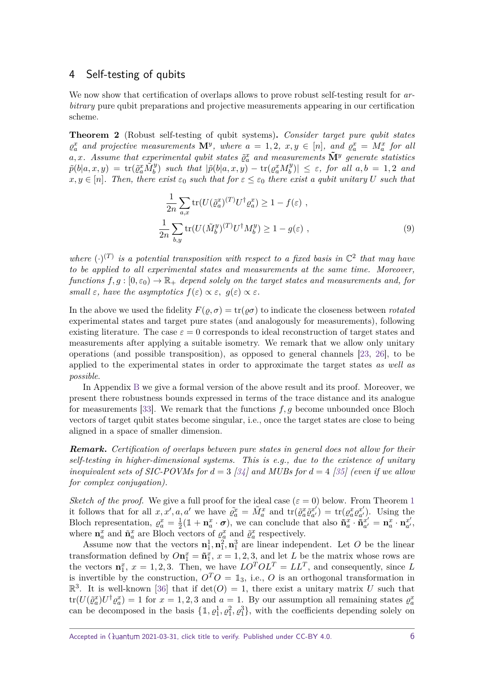#### 4 Self-testing of qubits

We now show that certification of overlaps allows to prove robust self-testing result for arbitrary pure qubit preparations and projective measurements appearing in our certification scheme.

<span id="page-5-0"></span>**Theorem 2** (Robust self-testing of qubit systems)**.** *Consider target pure qubit states*  $\varrho_a^x$  and projective measurements  $\mathbf{M}^y$ , where  $a = 1, 2, x, y \in [n]$ , and  $\varrho_a^x = M_a^x$  for all  $a, x$ *. Assume that experimental qubit states*  $\tilde{\varrho}_a^x$  *and measurements*  $\tilde{\mathbf{M}}^y$  *generate statistics*  $\tilde{p}(b|a,x,y) = \text{tr}(\tilde{\varrho}_a^x \tilde{M}_b^y)$  such that  $|\tilde{p}(b|a,x,y) - \text{tr}(\varrho_a^x M_b^y)$  $\left| \begin{array}{c} \mathbf{b} \\ \mathbf{b} \end{array} \right| \leq \varepsilon$ , for all  $a, b = 1, 2$  and  $x, y \in [n]$ . Then, there exist  $\varepsilon_0$  *such that for*  $\varepsilon \leq \varepsilon_0$  *there exist a qubit unitary U such that* 

<span id="page-5-1"></span>
$$
\frac{1}{2n} \sum_{a,x} \text{tr}(U(\tilde{\varrho}_a^x)^{(T)} U^{\dagger} \varrho_a^x) \ge 1 - f(\varepsilon) ,
$$
  

$$
\frac{1}{2n} \sum_{b,y} \text{tr}(U(\tilde{M}_b^y)^{(T)} U^{\dagger} M_b^y) \ge 1 - g(\varepsilon) ,
$$
 (9)

where  $(\cdot)^{(T)}$  is a potential transposition with respect to a fixed basis in  $\mathbb{C}^2$  that may have *to be applied to all experimental states and measurements at the same time. Moreover, functions*  $f, g : [0, \varepsilon_0) \to \mathbb{R}_+$  *depend solely on the target states and measurements and, for small*  $\varepsilon$ *, have the asymptotics*  $f(\varepsilon) \propto \varepsilon$ *, g*( $\varepsilon$ )  $\propto \varepsilon$ *.* 

In the above we used the fidelity  $F(\rho, \sigma) = \text{tr}(\rho \sigma)$  to indicate the closeness between *rotated* experimental states and target pure states (and analogously for measurements), following existing literature. The case  $\varepsilon = 0$  corresponds to ideal reconstruction of target states and measurements after applying a suitable isometry. We remark that we allow only unitary operations (and possible transposition), as opposed to general channels [\[23,](#page-26-8) [26\]](#page-26-11), to be applied to the experimental states in order to approximate the target states as well as possible.

In Appendix [B](#page-12-0) we give a formal version of the above result and its proof. Moreover, we present there robustness bounds expressed in terms of the trace distance and its analogue for measurements [\[33\]](#page-27-1). We remark that the functions *f, g* become unbounded once Bloch vectors of target qubit states become singular, i.e., once the target states are close to being aligned in a space of smaller dimension.

*Remark***.** *Certification of overlaps between pure states in general does not allow for their self-testing in higher-dimensional systems. This is e.g., due to the existence of unitary inequivalent sets of SIC-POVMs for d* = 3 *[\[34\]](#page-27-2) and MUBs for d* = 4 *[\[35\]](#page-27-3) (even if we allow for complex conjugation).*

*Sketch of the proof.* We give a full proof for the ideal case  $(\epsilon = 0)$  below. From Theorem [1](#page-3-2) it follows that for all  $x, x', a, a'$  we have  $\tilde{\varrho}_a^x = \tilde{M}_a^x$  and  $tr(\tilde{\varrho}_a^x \tilde{\varrho}_{a'}^{x'}$  $f_{a'}^{x'}$ ) = tr( $\varrho_a^x \varrho_{a'}^{x'}$  $a^x'$ ). Using the Bloch representation,  $\rho_a^x = \frac{1}{2}$  $\frac{1}{2}(\mathbb{1} + \mathbf{n}_a^x \cdot \boldsymbol{\sigma})$ , we can conclude that also  $\tilde{\mathbf{n}}_a^x \cdot \tilde{\mathbf{n}}_a^{x'}$  $\mathbf{a}^{x'}_{a'} = \mathbf{n}^x_a \cdot \mathbf{n}^{x'}_{a'}$  $\frac{x'}{a'}$ where  $\mathbf{n}_a^x$  and  $\tilde{\mathbf{n}}_a^x$  are Bloch vectors of  $\varrho_a^x$  and  $\tilde{\varrho}_a^x$  respectively.

Assume now that the vectors  $\mathbf{n}_1^1, \mathbf{n}_1^2, \mathbf{n}_1^3$  are linear independent. Let O be the linear transformation defined by  $On_1^x = \tilde{n}_1^x$ ,  $x = 1, 2, 3$ , and let *L* be the matrix whose rows are the vectors  $\mathbf{n}_1^x$ ,  $x = 1, 2, 3$ . Then, we have  $LO^TOL^T = LL^T$ , and consequently, since *L* is invertible by the construction,  $O^T O = \mathbb{1}_3$ , i.e., *O* is an orthogonal transformation in  $\mathbb{R}^3$ . It is well-known [\[36\]](#page-27-4) that if  $\det(O) = 1$ , there exist a unitary matrix *U* such that  $\text{tr}(U(\tilde{\varrho}_a^x)U^{\dagger} \varrho_a^x) = 1$  for  $x = 1, 2, 3$  and  $a = 1$ . By our assumption all remaining states  $\varrho_a^x$ can be decomposed in the basis  $\{\mathbb{1}, \varrho_1^1, \varrho_1^2, \varrho_1^3\}$ , with the coefficients depending solely on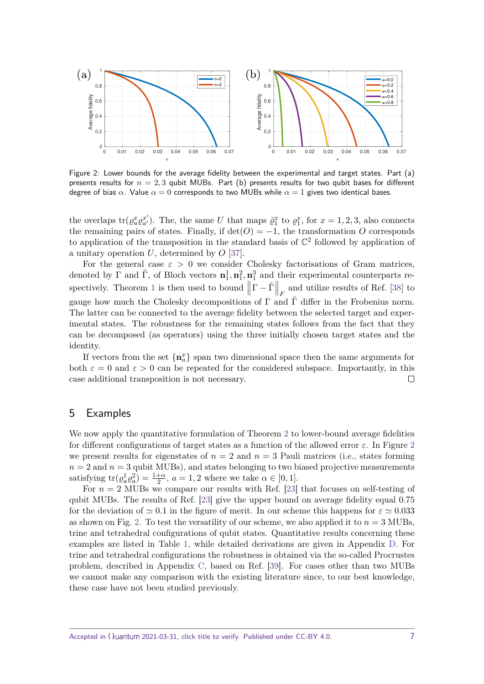<span id="page-6-0"></span>

Figure 2: Lower bounds for the average fidelity between the experimental and target states. Part (a) presents results for  $n = 2, 3$  qubit MUBs. Part (b) presents results for two qubit bases for different degree of bias  $\alpha$ . Value  $\alpha = 0$  corresponds to two MUBs while  $\alpha = 1$  gives two identical bases.

the overlaps  $tr(\varrho_a^x \varrho_{a'}^{x'} )$  $\tilde{a}'$ . The, the same *U* that maps  $\tilde{\varrho}_1^x$  to  $\varrho_1^x$ , for  $x = 1, 2, 3$ , also connects the remaining pairs of states. Finally, if  $det(O) = -1$ , the transformation *O* corresponds to application of the transposition in the standard basis of  $\mathbb{C}^2$  followed by application of a unitary operation *U*, determined by *O* [\[37\]](#page-27-5).

For the general case  $\varepsilon > 0$  we consider Cholesky factorisations of Gram matrices, denoted by  $\Gamma$  and  $\tilde{\Gamma}$ , of Bloch vectors  $\mathbf{n}_1^1, \mathbf{n}_1^2, \mathbf{n}_1^3$  and their experimental counterparts re-spectively. Theorem [1](#page-3-2) is then used to bound  $\Big|$  $\left|\Gamma-\tilde{\Gamma}\right|$  $\Big|_F$  and utilize results of Ref. [\[38\]](#page-27-6) to gauge how much the Cholesky decompositions of  $\Gamma$  and  $\Gamma$  differ in the Frobenius norm. The latter can be connected to the average fidelity between the selected target and experimental states. The robustness for the remaining states follows from the fact that they can be decomposed (as operators) using the three initially chosen target states and the identity.

If vectors from the set  $\{\mathbf{n}_a^x\}$  span two dimensional space then the same arguments for both  $\varepsilon = 0$  and  $\varepsilon > 0$  can be repeated for the considered subspace. Importantly, in this case additional transposition is not necessary.  $\Box$ 

#### 5 Examples

We now apply the quantitative formulation of Theorem [2](#page-5-0) to lower-bound average fidelities for different configurations of target states as a function of the allowed error *ε*. In Figure [2](#page-6-0) we present results for eigenstates of  $n = 2$  and  $n = 3$  Pauli matrices (i.e., states forming  $n = 2$  and  $n = 3$  qubit MUBs), and states belonging to two biased projective measurements satisfying  $\text{tr}(\varrho_a^1 \varrho_a^2) = \frac{1+\alpha}{2}, a = 1, 2$  where we take  $\alpha \in [0, 1]$ .

For  $n = 2$  MUBs we compare our results with Ref. [\[23\]](#page-26-8) that focuses on self-testing of qubit MUBs. The results of Ref. [\[23\]](#page-26-8) give the upper bound on average fidelity equal 0*.*75 for the deviation of  $\simeq 0.1$  in the figure of merit. In our scheme this happens for  $\varepsilon \simeq 0.033$ as shown on Fig. [2.](#page-6-0) To test the versatility of our scheme, we also applied it to  $n = 3$  MUBs, trine and tetrahedral configurations of qubit states. Quantitative results concerning these examples are listed in Table [1,](#page-7-0) while detailed derivations are given in Appendix [D.](#page-21-0) For trine and tetrahedral configurations the robustness is obtained via the so-called Procrustes problem, described in Appendix [C,](#page-20-0) based on Ref. [\[39\]](#page-27-7). For cases other than two MUBs we cannot make any comparison with the existing literature since, to our best knowledge, these case have not been studied previously.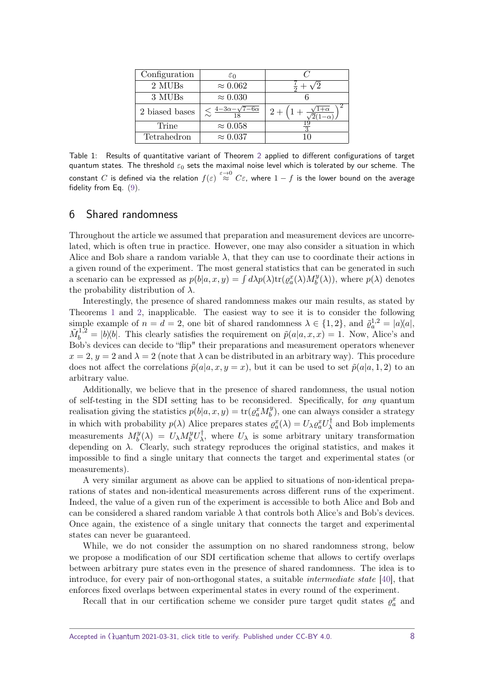<span id="page-7-0"></span>

| Configuration  | $\varepsilon_0$                                  | $\curvearrowright$ |
|----------------|--------------------------------------------------|--------------------|
| 2 MUBs         | $\approx 0.062$                                  |                    |
| 3 MUBs         | $\approx 0.030$                                  |                    |
| 2 biased bases | $\lesssim \frac{4-3\alpha-\sqrt{7-6\alpha}}{10}$ | $2 -$              |
| Trine          | $\approx 0.058$                                  |                    |
| Tetrahedron    | $\approx 0.037$                                  |                    |

Table 1: Results of quantitative variant of Theorem [2](#page-5-0) applied to different configurations of target quantum states. The threshold *ε*<sup>0</sup> sets the maximal noise level which is tolerated by our scheme. The  $\epsilon$  constant  $C$  is defined via the relation  $f(\varepsilon) \stackrel{\varepsilon\to 0}{\approx} C\varepsilon$ , where  $1-f$  is the lower bound on the average fidelity from Eq. [\(9\)](#page-5-1).

#### 6 Shared randomness

Throughout the article we assumed that preparation and measurement devices are uncorrelated, which is often true in practice. However, one may also consider a situation in which Alice and Bob share a random variable  $\lambda$ , that they can use to coordinate their actions in a given round of the experiment. The most general statistics that can be generated in such a scenario can be expressed as  $p(b|a, x, y) = \int d\lambda p(\lambda) \text{tr}(p_a^x(\lambda) M_b^y)$  $p_b^y(\lambda)$ , where  $p(\lambda)$  denotes the probability distribution of *λ*.

Interestingly, the presence of shared randomness makes our main results, as stated by Theorems [1](#page-3-2) and [2,](#page-5-0) inapplicable. The easiest way to see it is to consider the following simple example of  $n = d = 2$ , one bit of shared randomness  $\lambda \in \{1, 2\}$ , and  $\tilde{\varrho}_a^{1,2} = |a\rangle\langle a|$ ,  $\tilde{M}_b^{1,2} = |b\rangle\langle b|$ . This clearly satisfies the requirement on  $\tilde{p}(a|a, x, x) = 1$ . Now, Alice's and Bob's devices can decide to "flip" their preparations and measurement operators whenever  $x = 2$ ,  $y = 2$  and  $\lambda = 2$  (note that  $\lambda$  can be distributed in an arbitrary way). This procedure does not affect the correlations  $\tilde{p}(a|a, x, y = x)$ , but it can be used to set  $\tilde{p}(a|a, 1, 2)$  to an arbitrary value.

Additionally, we believe that in the presence of shared randomness, the usual notion of self-testing in the SDI setting has to be reconsidered. Specifically, for any quantum realisation giving the statistics  $p(b|a, x, y) = \text{tr}(p_a^x M_b^y)$  $\binom{y}{b}$ , one can always consider a strategy in which with probability  $p(\lambda)$  Alice prepares states  $\rho_a^x(\lambda) = U_{\lambda} \rho_a^x U_{\lambda}^{\dagger}$  $\lambda$ <sup>T</sup> and Bob implements measurements  $M_h^y$  $\partial_b^y(\lambda) = U_\lambda M_b^y U_\lambda^\dagger$  $U_{\lambda}$ , where  $U_{\lambda}$  is some arbitrary unitary transformation depending on  $\lambda$ . Clearly, such strategy reproduces the original statistics, and makes it impossible to find a single unitary that connects the target and experimental states (or measurements).

A very similar argument as above can be applied to situations of non-identical preparations of states and non-identical measurements across different runs of the experiment. Indeed, the value of a given run of the experiment is accessible to both Alice and Bob and can be considered a shared random variable  $\lambda$  that controls both Alice's and Bob's devices. Once again, the existence of a single unitary that connects the target and experimental states can never be guaranteed.

While, we do not consider the assumption on no shared randomness strong, below we propose a modification of our SDI certification scheme that allows to certify overlaps between arbitrary pure states even in the presence of shared randomness. The idea is to introduce, for every pair of non-orthogonal states, a suitable intermediate state [\[40\]](#page-27-8), that enforces fixed overlaps between experimental states in every round of the experiment.

Recall that in our certification scheme we consider pure target qudit states  $\rho_a^x$  and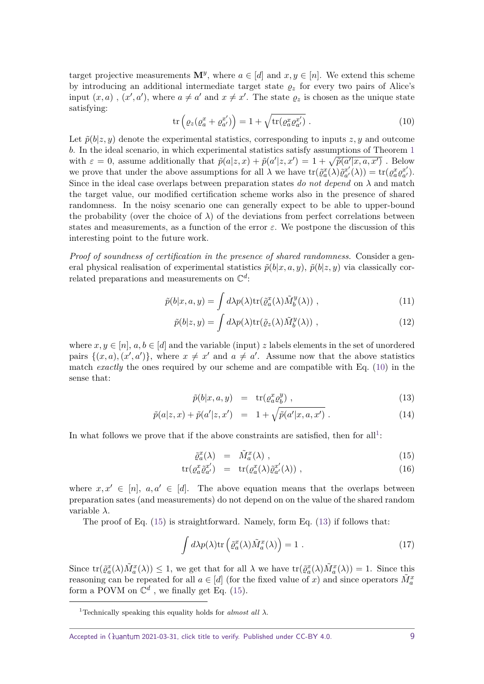target projective measurements  $\mathbf{M}^y$ , where  $a \in [d]$  and  $x, y \in [n]$ . We extend this scheme by introducing an additional intermediate target state  $\rho_z$  for every two pairs of Alice's input  $(x, a)$ ,  $(x', a')$ , where  $a \neq a'$  and  $x \neq x'$ . The state  $\varrho_z$  is chosen as the unique state satisfying:

<span id="page-8-0"></span>
$$
\operatorname{tr}\left(\varrho_z(\varrho_a^x+\varrho_{a'}^{x'})\right) = 1 + \sqrt{\operatorname{tr}(\varrho_a^x\varrho_{a'}^{x'}}) \ . \tag{10}
$$

Let  $\tilde{p}(b|z, y)$  denote the experimental statistics, corresponding to inputs  $z, y$  and outcome *b*. In the ideal scenario, in which experimental statistics satisfy assumptions of Theorem [1](#page-3-2) with  $\varepsilon = 0$ , assume additionally that  $\tilde{p}(a|z, x) + \tilde{p}(a'|z, x') = 1 + \sqrt{\tilde{p}(a'|x, a, x')}$ . Below we prove that under the above assumptions for all  $\lambda$  we have  $tr(\tilde{\varrho}_a^x(\lambda)\tilde{\varrho}_{a'}^{x'}$  $f_{a'}^{x'}(\lambda)) = \text{tr}(\varrho_a^x \varrho_{a'}^{x'}$  $a^{(n')}$ . Since in the ideal case overlaps between preparation states do not depend on  $\lambda$  and match the target value, our modified certification scheme works also in the presence of shared randomness. In the noisy scenario one can generally expect to be able to upper-bound the probability (over the choice of  $\lambda$ ) of the deviations from perfect correlations between states and measurements, as a function of the error *ε*. We postpone the discussion of this interesting point to the future work.

*Proof of soundness of certification in the presence of shared randomness.* Consider a general physical realisation of experimental statistics  $\tilde{p}(b|x, a, y)$ ,  $\tilde{p}(b|z, y)$  via classically correlated preparations and measurements on  $\mathbb{C}^d$ :

$$
\tilde{p}(b|x,a,y) = \int d\lambda p(\lambda) \text{tr}(\tilde{\varrho}_a^x(\lambda) \tilde{M}_b^y(\lambda)), \qquad (11)
$$

$$
\tilde{p}(b|z,y) = \int d\lambda p(\lambda) \text{tr}(\tilde{\varrho}_z(\lambda) \tilde{M}_b^y(\lambda)), \qquad (12)
$$

where  $x, y \in [n]$ ,  $a, b \in [d]$  and the variable (input) *z* labels elements in the set of unordered pairs  $\{(x, a), (x', a')\}$ , where  $x \neq x'$  and  $a \neq a'$ . Assume now that the above statistics match *exactly* the ones required by our scheme and are compatible with Eq. [\(10\)](#page-8-0) in the sense that:

<span id="page-8-3"></span>
$$
\tilde{p}(b|x,a,y) = \text{tr}(\varrho_a^x \varrho_b^y) , \qquad (13)
$$

$$
\tilde{p}(a|z,x) + \tilde{p}(a'|z,x') = 1 + \sqrt{\tilde{p}(a'|x,a,x')} \ . \tag{14}
$$

In what follows we prove that if the above constraints are satisfied, then for all<sup>[1](#page-8-1)</sup>:

<span id="page-8-2"></span>
$$
\tilde{\varrho}_a^x(\lambda) = \tilde{M}_a^x(\lambda) , \qquad (15)
$$

$$
\text{tr}(\varrho_a^x \tilde{\varrho}_{a'}^{x'}) = \text{tr}(\varrho_a^x(\lambda) \tilde{\varrho}_{a'}^{x'}(\lambda)), \qquad (16)
$$

where  $x, x' \in [n]$ ,  $a, a' \in [d]$ . The above equation means that the overlaps between preparation sates (and measurements) do not depend on on the value of the shared random variable *λ*.

The proof of Eq.  $(15)$  is straightforward. Namely, form Eq.  $(13)$  if follows that:

$$
\int d\lambda p(\lambda) \text{tr}\left(\tilde{\varrho}_a^x(\lambda)\tilde{M}_a^x(\lambda)\right) = 1.
$$
\n(17)

Since  $\text{tr}(\tilde{\varrho}_a^x(\lambda)\tilde{M}_a^x(\lambda)) \leq 1$ , we get that for all  $\lambda$  we have  $\text{tr}(\tilde{\varrho}_a^x(\lambda)\tilde{M}_a^x(\lambda)) = 1$ . Since this reasoning can be repeated for all  $a \in [d]$  (for the fixed value of *x*) and since operators  $\tilde{M}_a^x$ form a POVM on  $\mathbb{C}^d$ , we finally get Eq. [\(15\)](#page-8-2).

<span id="page-8-1"></span><sup>&</sup>lt;sup>1</sup>Technically speaking this equality holds for *almost all*  $\lambda$ .

Accepted in  $\lambda$ uantum 2021-03-31, click title to verify. Published under CC-BY 4.0. 9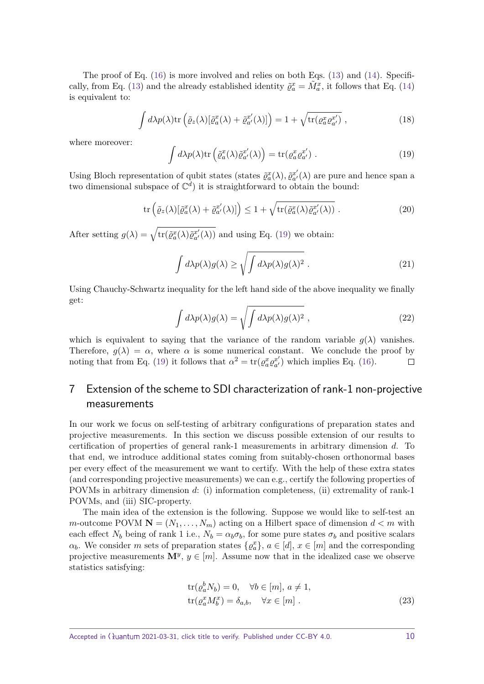The proof of Eq. [\(16\)](#page-8-2) is more involved and relies on both Eqs. [\(13\)](#page-8-3) and [\(14\)](#page-8-3). Specifi-cally, from Eq. [\(13\)](#page-8-3) and the already established identity  $\tilde{\varrho}_a^x = \tilde{M}_a^x$ , it follows that Eq. [\(14\)](#page-8-3) is equivalent to:

$$
\int d\lambda p(\lambda) \text{tr}\left(\tilde{\varrho}_z(\lambda) [\tilde{\varrho}_a^x(\lambda) + \tilde{\varrho}_{a'}^{x'}(\lambda)]\right) = 1 + \sqrt{\text{tr}(\varrho_a^x \varrho_{a'}^{x'}}),
$$
\n(18)

where moreover:

<span id="page-9-0"></span>
$$
\int d\lambda p(\lambda) \text{tr}\left(\tilde{\varrho}_a^x(\lambda)\tilde{\varrho}_{a'}^{x'}(\lambda)\right) = \text{tr}(\varrho_a^x \varrho_{a'}^{x'})\ .
$$
 (19)

Using Bloch representation of qubit states (states  $\tilde{\varrho}_a^x(\lambda), \tilde{\varrho}_{a'}^{x'}$  $a'_{a'}(\lambda)$  are pure and hence span a two dimensional subspace of  $\mathbb{C}^d$ ) it is straightforward to obtain the bound:

$$
\operatorname{tr}\left(\tilde{\varrho}_z(\lambda)[\tilde{\varrho}_a^x(\lambda) + \tilde{\varrho}_{a'}^{x'}(\lambda)]\right) \le 1 + \sqrt{\operatorname{tr}(\tilde{\varrho}_a^x(\lambda)\tilde{\varrho}_{a'}^{x'}(\lambda))} \ . \tag{20}
$$

After setting  $g(\lambda) = \sqrt{\text{tr}(\tilde{\varrho}_a^x(\lambda)\tilde{\varrho}_{a'}^{x'}(\lambda))}$  and using Eq. [\(19\)](#page-9-0) we obtain:

$$
\int d\lambda p(\lambda) g(\lambda) \ge \sqrt{\int d\lambda p(\lambda) g(\lambda)^2} . \tag{21}
$$

Using Chauchy-Schwartz inequality for the left hand side of the above inequality we finally get:

$$
\int d\lambda p(\lambda)g(\lambda) = \sqrt{\int d\lambda p(\lambda)g(\lambda)^2},
$$
\n(22)

which is equivalent to saying that the variance of the random variable  $g(\lambda)$  vanishes. Therefore,  $g(\lambda) = \alpha$ , where  $\alpha$  is some numerical constant. We conclude the proof by noting that from Eq. [\(19\)](#page-9-0) it follows that  $\alpha^2 = \text{tr}(g_a^x g_{a'}^{x'})$  $a'_{a'}$ ) which implies Eq. [\(16\)](#page-8-2).  $\Box$ 

# 7 Extension of the scheme to SDI characterization of rank-1 non-projective measurements

In our work we focus on self-testing of arbitrary configurations of preparation states and projective measurements. In this section we discuss possible extension of our results to certification of properties of general rank-1 measurements in arbitrary dimension *d*. To that end, we introduce additional states coming from suitably-chosen orthonormal bases per every effect of the measurement we want to certify. With the help of these extra states (and corresponding projective measurements) we can e.g., certify the following properties of POVMs in arbitrary dimension *d*: (i) information completeness, (ii) extremality of rank-1 POVMs, and (iii) SIC-property.

The main idea of the extension is the following. Suppose we would like to self-test an *m*-outcome POVM  $\mathbf{N} = (N_1, \ldots, N_m)$  acting on a Hilbert space of dimension  $d < m$  with each effect  $N_b$  being of rank 1 i.e.,  $N_b = \alpha_b \sigma_b$ , for some pure states  $\sigma_b$  and positive scalars *α*<sup>*b*</sup>. We consider *m* sets of preparation states  $\{ \varrho_a^x \}$ ,  $a \in [d]$ ,  $x \in [m]$  and the corresponding projective measurements  $\mathbf{M}^y$ ,  $y \in [m]$ . Assume now that in the idealized case we observe statistics satisfying:

<span id="page-9-1"></span>
$$
\text{tr}(\varrho_a^b N_b) = 0, \quad \forall b \in [m], a \neq 1,
$$
  
\n
$$
\text{tr}(\varrho_a^x M_b^x) = \delta_{a,b}, \quad \forall x \in [m].
$$
\n(23)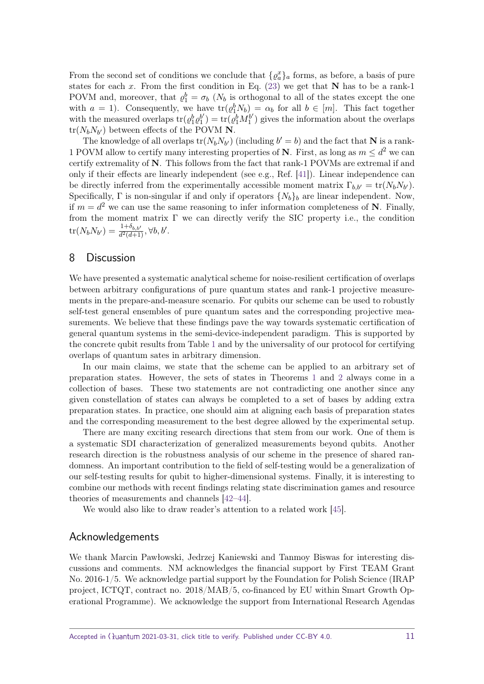From the second set of conditions we conclude that  $\{ \varrho_a^x \}_a$  forms, as before, a basis of pure states for each *x*. From the first condition in Eq. [\(23\)](#page-9-1) we get that **N** has to be a rank-1 POVM and, moreover, that  $\rho_1^b = \sigma_b$  ( $N_b$  is orthogonal to all of the states except the one with  $a = 1$ ). Consequently, we have  $\text{tr}(\varrho_1^b N_b) = \alpha_b$  for all  $b \in [m]$ . This fact together with the measured overlaps  $tr(\rho_1^b \rho_1^{b'})$  $\mathbf{h}_{1}^{b^{\prime }})=\mathrm{tr}(\rho _{1}^{b}M_{1}^{b^{\prime }})$  $j_1^{b'}$ ) gives the information about the overlaps  $tr(N_b N_{b'})$  between effects of the POVM **N**.

The knowledge of all overlaps  $tr(N_b N_{b'})$  (including  $b' = b$ ) and the fact that **N** is a rank-1 POVM allow to certify many interesting properties of **N**. First, as long as  $m \leq d^2$  we can certify extremality of **N**. This follows from the fact that rank-1 POVMs are extremal if and only if their effects are linearly independent (see e.g., Ref. [\[41\]](#page-27-9)). Linear independence can be directly inferred from the experimentally accessible moment matrix  $\Gamma_{b,b'} = \text{tr}(N_b N_{b'})$ . Specifically,  $\Gamma$  is non-singular if and only if operators  $\{N_b\}_b$  are linear independent. Now, if  $m = d^2$  we can use the same reasoning to infer information completeness of **N**. Finally, from the moment matrix  $\Gamma$  we can directly verify the SIC property i.e., the condition  $\text{tr}(N_b N_{b'}) = \frac{1+\delta_{b,b'}}{d^2(d+1)}, \forall b, b'.$ 

#### 8 Discussion

We have presented a systematic analytical scheme for noise-resilient certification of overlaps between arbitrary configurations of pure quantum states and rank-1 projective measurements in the prepare-and-measure scenario. For qubits our scheme can be used to robustly self-test general ensembles of pure quantum sates and the corresponding projective measurements. We believe that these findings pave the way towards systematic certification of general quantum systems in the semi-device-independent paradigm. This is supported by the concrete qubit results from Table [1](#page-7-0) and by the universality of our protocol for certifying overlaps of quantum sates in arbitrary dimension.

In our main claims, we state that the scheme can be applied to an arbitrary set of preparation states. However, the sets of states in Theorems [1](#page-3-2) and [2](#page-5-0) always come in a collection of bases. These two statements are not contradicting one another since any given constellation of states can always be completed to a set of bases by adding extra preparation states. In practice, one should aim at aligning each basis of preparation states and the corresponding measurement to the best degree allowed by the experimental setup.

There are many exciting research directions that stem from our work. One of them is a systematic SDI characterization of generalized measurements beyond qubits. Another research direction is the robustness analysis of our scheme in the presence of shared randomness. An important contribution to the field of self-testing would be a generalization of our self-testing results for qubit to higher-dimensional systems. Finally, it is interesting to combine our methods with recent findings relating state discrimination games and resource theories of measurements and channels [\[42–](#page-27-10)[44\]](#page-27-11).

We would also like to draw reader's attention to a related work [\[45\]](#page-27-12).

#### Acknowledgements

We thank Marcin Pawłowski, Jedrzej Kaniewski and Tanmoy Biswas for interesting discussions and comments. NM acknowledges the financial support by First TEAM Grant No. 2016-1/5. We acknowledge partial support by the Foundation for Polish Science (IRAP project, ICTQT, contract no. 2018/MAB/5, co-financed by EU within Smart Growth Operational Programme). We acknowledge the support from International Research Agendas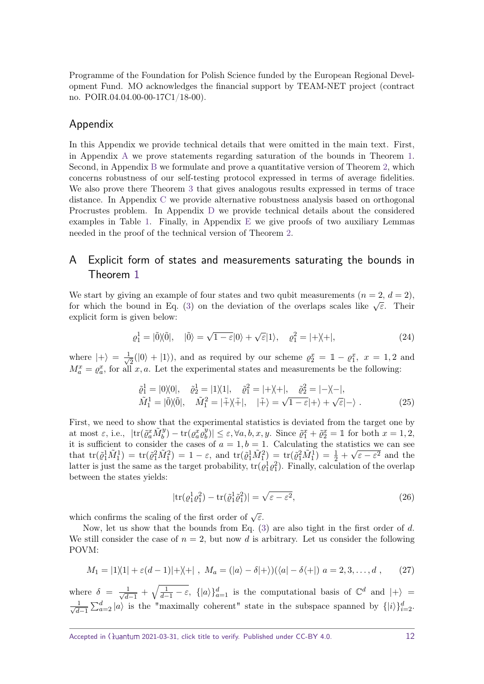Programme of the Foundation for Polish Science funded by the European Regional Development Fund. MO acknowledges the financial support by TEAM-NET project (contract no. POIR.04.04.00-00-17C1/18-00).

# Appendix

In this Appendix we provide technical details that were omitted in the main text. First, in Appendix [A](#page-11-0) we prove statements regarding saturation of the bounds in Theorem [1.](#page-3-2) Second, in Appendix [B](#page-12-0) we formulate and prove a quantitative version of Theorem [2,](#page-5-0) which concerns robustness of our self-testing protocol expressed in terms of average fidelities. We also prove there Theorem [3](#page-12-1) that gives analogous results expressed in terms of trace distance. In Appendix [C](#page-20-0) we provide alternative robustness analysis based on orthogonal Procrustes problem. In Appendix [D](#page-21-0) we provide technical details about the considered examples in Table [1.](#page-7-0) Finally, in Appendix [E](#page-22-0) we give proofs of two auxiliary Lemmas needed in the proof of the technical version of Theorem [2.](#page-5-0)

# <span id="page-11-0"></span>A Explicit form of states and measurements saturating the bounds in Theorem [1](#page-3-2)

We start by giving an example of four states and two qubit measurements  $(n = 2, d = 2)$ , for which the bound in Eq. [\(3\)](#page-3-1) on the deviation of the overlaps scales like  $\sqrt{\epsilon}$ . Their explicit form is given below:

$$
\varrho_1^1 = |\tilde{0}\rangle\langle\tilde{0}|, \quad |\tilde{0}\rangle = \sqrt{1-\varepsilon}|0\rangle + \sqrt{\varepsilon}|1\rangle, \quad \varrho_1^2 = |+\rangle\langle+|,\tag{24}
$$

where  $|+\rangle = \frac{1}{\sqrt{2}}$  $\frac{1}{2}(|0\rangle + |1\rangle)$ , and as required by our scheme  $\varrho_2^x = \mathbb{1} - \varrho_1^x$ ,  $x = 1, 2$  and  $M_a^x = \varrho_a^x$ , for all *x, a*. Let the experimental states and measurements be the following:

$$
\tilde{\varrho}_1^1 = |0\rangle\langle 0|, \quad \tilde{\varrho}_2^1 = |1\rangle\langle 1|, \quad \tilde{\varrho}_1^2 = |+\rangle\langle +|, \quad \tilde{\varrho}_2^2 = |-\rangle\langle -|, \n\tilde{M}_1^1 = |\tilde{0}\rangle\langle \tilde{0}|, \quad \tilde{M}_1^2 = |\tilde{+}\rangle\langle +|, \quad |\tilde{+}\rangle = \sqrt{1-\varepsilon}|+\rangle + \sqrt{\varepsilon}|-\rangle .
$$
\n(25)

First, we need to show that the experimental statistics is deviated from the target one by  $\alpha$  at most  $\varepsilon$ , i.e.,  $\left| \text{tr}(\tilde{\varrho}_a^x \tilde{M}_b^y) - \text{tr}(\varrho_a^x \tilde{\varrho}_b^y)\right|$  $|\psi_b^y| \leq \varepsilon$ ,  $\forall a, b, x, y$ . Since  $\tilde{\varrho}_1^x + \tilde{\varrho}_2^x = \mathbb{1}$  for both  $x = 1, 2$ , it is sufficient to consider the cases of  $a = 1, b = 1$ . Calculating the statistics we can see that  $\text{tr}(\tilde{\varrho}_1^1 \tilde{M}_1^1) = \text{tr}(\tilde{\varrho}_1^2 \tilde{M}_1^2) = 1 - \varepsilon$ , and  $\text{tr}(\tilde{\varrho}_1^1 \tilde{M}_1^2) = \text{tr}(\tilde{\varrho}_1^2 \tilde{M}_1^1) = \frac{1}{2} + \sqrt{\varepsilon - \varepsilon^2}$  and the latter is just the same as the target probability,  $\text{tr}(\varrho_1^1 \varrho_1^2)$ . Finally, calculation of the overlap between the states yields:

$$
|\text{tr}(\varrho_1^1 \varrho_1^2) - \text{tr}(\tilde{\varrho}_1^1 \tilde{\varrho}_1^2)| = \sqrt{\varepsilon - \varepsilon^2},\tag{26}
$$

which confirms the scaling of the first order of  $\sqrt{\varepsilon}$ .

Now, let us show that the bounds from Eq. [\(3\)](#page-3-1) are also tight in the first order of *d*. We still consider the case of  $n = 2$ , but now d is arbitrary. Let us consider the following POVM:

$$
M_1 = |1\rangle\langle 1| + \varepsilon(d-1)|+\rangle\langle +|, \ M_a = (|a\rangle - \delta|+\rangle)(\langle a| - \delta\langle +|) \ a = 2, 3, \dots, d \ , \qquad (27)
$$

where  $\delta = \frac{1}{\sqrt{d}}$  $\frac{1}{d-1} + \sqrt{\frac{1}{d-1} - \varepsilon}$ ,  $\{|a\rangle\}_{a=1}^d$  is the computational basis of  $\mathbb{C}^d$  and  $|+\rangle =$  $\frac{1}{\sqrt{1}}$  $\frac{1}{d-1} \sum_{a=2}^{d} |a\rangle$  is the "maximally coherent" state in the subspace spanned by  $\{|i\rangle\}_{i=2}^{d}$ .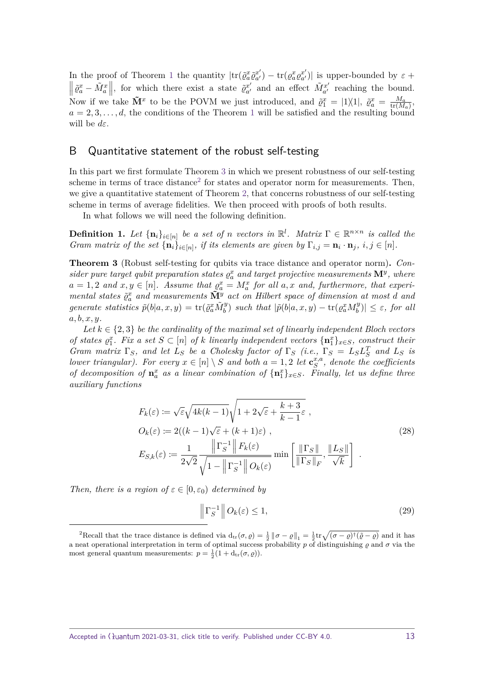In the proof of Theorem [1](#page-3-2) the quantity  $|\text{tr}(\tilde{\varrho}_a^x \tilde{\varrho}_{a'}^{x'}\)$  $\langle x'_a \rangle - \text{tr}(\varrho_a^x \varrho_{a'}^{x'})|$  is upper-bounded by  $\varepsilon +$  $\left\| \tilde{\varrho}_a^x - \tilde{M}_a^x \right\|$ , for which there exist a state  $\tilde{\varrho}_a^{x'}$  and an effect Now if we take  $\tilde{\mathbf{M}}^x$  to be the POVM we just introduced, and  $\tilde{\varrho}_1^x = |1\rangle\langle 1|$ ,  $\tilde{\varrho}_a^x = \frac{M_a}{\text{tr}(M_a)}$  $\tilde{M}^{x'}_{a'}$  and an effect  $\tilde{M}^{x'}_{a'}$  $a'_{a'}$  reaching the bound.  $\frac{M_a}{\text{tr}(M_a)},$  $a = 2, 3, \ldots, d$ , the conditions of the Theorem [1](#page-3-2) will be satisfied and the resulting bound will be *dε*.

#### <span id="page-12-0"></span>B Quantitative statement of the robust self-testing

In this part we first formulate Theorem [3](#page-12-1) in which we present robustness of our self-testing scheme in terms of trace distance<sup>[2](#page-12-2)</sup> for states and operator norm for measurements. Then, we give a quantitative statement of Theorem [2,](#page-5-0) that concerns robustness of our self-testing scheme in terms of average fidelities. We then proceed with proofs of both results.

In what follows we will need the following definition.

**Definition 1.** Let  $\{\mathbf{n}_i\}_{i \in [n]}$  be a set of *n* vectors in  $\mathbb{R}^l$ . Matrix  $\Gamma \in \mathbb{R}^{n \times n}$  is called the *Gram matrix of the set*  $\{\mathbf{n}_i\}_{i\in[n]},$  *if its elements are given by*  $\Gamma_{i,j} = \mathbf{n}_i \cdot \mathbf{n}_j$ ,  $i, j \in [n]$ *.* 

<span id="page-12-1"></span>**Theorem 3** (Robust self-testing for qubits via trace distance and operator norm)**.** *Consider pure target qubit preparation states*  $\varrho_a^x$  *and target projective measurements*  $\mathbf{M}^y$ *, where*  $a = 1, 2$  and  $x, y \in [n]$ . Assume that  $g_a^x = M_a^x$  for all  $a, x$  and, furthermore, that experi*mental states*  $\tilde{\varrho}_a^x$  *and measurements*  $\tilde{\mathbf{M}}_z^{\tilde{y}}$  *act on Hilbert space of dimension at most d and* generate statistics  $\tilde{p}(b|a,x,y) = \text{tr}(\tilde{\varrho}_a^x \tilde{M}_b^y)$  such that  $|\tilde{p}(b|a,x,y) - \text{tr}(\varrho_a^x M_b^y)$  $|\mathcal{L}_{b}^{y}|$   $\leq \varepsilon$ *, for all a, b, x, y.*

Let  $k \in \{2,3\}$  be the cardinality of the maximal set of linearly independent Bloch vectors *of states*  $g_1^x$ *. Fix a set*  $S \subset [n]$  *of k linearly independent vectors*  $\{n_1^x\}_{x \in S}$ *, construct their Gram matrix*  $\Gamma_S$ *, and let*  $L_S$  *be a Cholesky factor of*  $\Gamma_S$  *(i.e.,*  $\Gamma_S = L_S L_S^T$  *and*  $L_S$  *is lower triangular). For every*  $x \in [n] \setminus S$  *and both*  $a = 1, 2$  *let*  $\mathbf{c}_{S}^{x,a}$  $\mathcal{L}_S^{x,a}$ , denote the coefficients *of decomposition of*  $\mathbf{n}_a^x$  *as a linear combination of*  ${\{\mathbf{n}_1^x\}}_{x \in S}$ *. Finally, let us define three auxiliary functions*

<span id="page-12-4"></span>
$$
F_k(\varepsilon) := \sqrt{\varepsilon} \sqrt{4k(k-1)} \sqrt{1 + 2\sqrt{\varepsilon} + \frac{k+3}{k-1} \varepsilon} ,
$$
  
\n
$$
O_k(\varepsilon) := 2((k-1)\sqrt{\varepsilon} + (k+1)\varepsilon) ,
$$
  
\n
$$
E_{S,k}(\varepsilon) := \frac{1}{2\sqrt{2}} \frac{\|\Gamma_S^{-1}\| F_k(\varepsilon)}{\sqrt{1 - \|\Gamma_S^{-1}\|} O_k(\varepsilon)} \min\left[\frac{\|\Gamma_S\|}{\|\Gamma_S\|_F}, \frac{\|L_S\|}{\sqrt{k}}\right] .
$$
\n(28)

*Then, there is a region of*  $\varepsilon \in [0, \varepsilon_0]$  *determined by* 

<span id="page-12-3"></span>
$$
\left\| \Gamma_S^{-1} \right\| O_k(\varepsilon) \le 1,\tag{29}
$$

<span id="page-12-2"></span><sup>&</sup>lt;sup>2</sup>Recall that the trace distance is defined via  $d_{tr}(\sigma, \rho) = \frac{1}{2} || \sigma - \rho ||_1 = \frac{1}{2} tr \sqrt{(\sigma - \rho)^{\dagger} (\tilde{\rho} - \rho)}$  and it has a neat operational interpretation in term of optimal success probability *p* of distinguishing  $\rho$  and  $\sigma$  via the most general quantum measurements:  $p = \frac{1}{2}(1 + d_{tr}(\sigma, \varrho)).$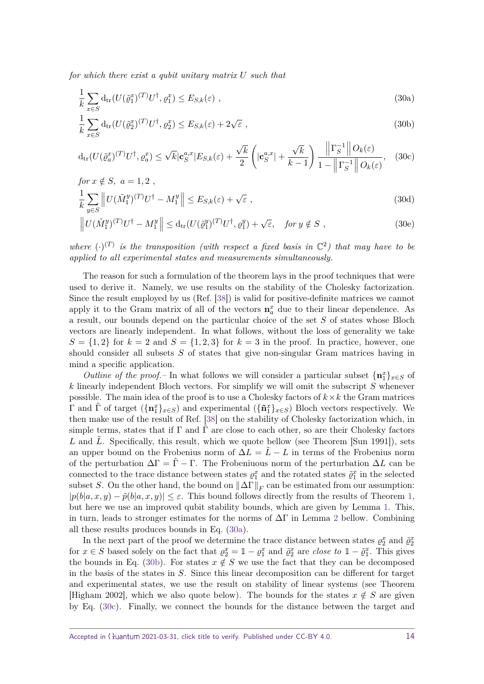*for which there exist a qubit unitary matrix U such that*

<span id="page-13-0"></span>
$$
\frac{1}{k} \sum_{x \in S} d_{\text{tr}}(U(\tilde{\varrho}_1^{x})^{(T)} U^{\dagger}, \varrho_1^{x}) \le E_{S,k}(\varepsilon) ,
$$
\n(30a)

<span id="page-13-2"></span><span id="page-13-1"></span>
$$
\frac{1}{k} \sum_{x \in S} d_{\text{tr}}(U(\tilde{\varrho}_2^{x})^{(T)} U^{\dagger}, \varrho_2^{x}) \le E_{S,k}(\varepsilon) + 2\sqrt{\varepsilon} ,\qquad(30b)
$$

$$
d_{tr}(U(\tilde{\varrho}_a^x)^{(T)}U^{\dagger},\varrho_a^x) \le \sqrt{k}|\mathbf{c}_S^{a,x}|E_{S,k}(\varepsilon) + \frac{\sqrt{k}}{2}\left(|\mathbf{c}_S^{a,x}| + \frac{\sqrt{k}}{k-1}\right)\frac{\|\Gamma_S^{-1}\|O_k(\varepsilon)}{1 - \|\Gamma_S^{-1}\|O_k(\varepsilon)},\tag{30c}
$$
  
for  $x \notin S$ ,  $a = 1, 2$ .

$$
\frac{1}{k} \sum_{y \in S} \left\| U(\tilde{M}_1^y)^{(T)} U^\dagger - M_1^y \right\| \le E_{S,k}(\varepsilon) + \sqrt{\varepsilon} \;, \tag{30d}
$$

<span id="page-13-4"></span><span id="page-13-3"></span>
$$
\left\| U(\tilde{M}_1^y)^{(T)} U^\dagger - M_1^y \right\| \leq d_{\text{tr}} (U(\tilde{\varrho}_1^y)^{(T)} U^\dagger, \varrho_1^y) + \sqrt{\varepsilon}, \quad \text{for } y \notin S ,
$$
 (30e)

where  $(\cdot)^{(T)}$  is the transposition (with respect a fixed basis in  $\mathbb{C}^2$ ) that may have to be *applied to all experimental states and measurements simultaneously.*

The reason for such a formulation of the theorem lays in the proof techniques that were used to derive it. Namely, we use results on the stability of the Cholesky factorization. Since the result employed by us (Ref. [\[38\]](#page-27-6)) is valid for positive-definite matrices we cannot apply it to the Gram matrix of all of the vectors  $\mathbf{n}_a^x$  due to their linear dependence. As a result, our bounds depend on the particular choice of the set *S* of states whose Bloch vectors are linearly independent. In what follows, without the loss of generality we take  $S = \{1, 2\}$  for  $k = 2$  and  $S = \{1, 2, 3\}$  for  $k = 3$  in the proof. In practice, however, one should consider all subsets *S* of states that give non-singular Gram matrices having in mind a specific application.

*Outline of the proof.*– In what follows we will consider a particular subset  ${\bf \{n}}_1^x\}_{x\in S}$  of *k* linearly independent Bloch vectors. For simplify we will omit the subscript *S* whenever possible. The main idea of the proof is to use a Cholesky factors of  $k \times k$  the Gram matrices  $\Gamma$  and  $\tilde{\Gamma}$  of target  $(\{\mathbf{n}_1^x\}_{x\in S})$  and experimental  $(\{\mathbf{\tilde{n}}_1^x\}_{x\in S})$  Bloch vectors respectively. We then make use of the result of Ref. [\[38\]](#page-27-6) on the stability of Cholesky factorization which, in simple terms, states that if  $\Gamma$  and  $\tilde{\Gamma}$  are close to each other, so are their Cholesky factors L and L<sup></sup>. Specifically, this result, which we quote bellow (see Theorem [Sun 1991]), sets an upper bound on the Frobenius norm of  $\Delta L = \tilde{L} - L$  in terms of the Frobenius norm of the perturbation  $\Delta\Gamma = \tilde{\Gamma} - \Gamma$ . The Frobeniuous norm of the perturbation  $\Delta L$  can be connected to the trace distance between states  $\rho_1^x$  and the rotated states  $\tilde{\rho}_1^x$  in the selected subset *S*. On the other hand, the bound on  $\|\Delta\Gamma\|_F$  can be estimated from our assumption:  $|p(b|a, x, y) - \tilde{p}(b|a, x, y)| \leq \varepsilon$ . This bound follows directly from the results of Theorem [1,](#page-3-2) but here we use an improved qubit stability bounds, which are given by Lemma [1.](#page-15-0) This, in turn, leads to stronger estimates for the norms of  $\Delta\Gamma$  in Lemma [2](#page-15-1) bellow. Combining all these results produces bounds in Eq. [\(30a\)](#page-13-0).

In the next part of the proof we determine the trace distance between states  $\varrho_2^x$  and  $\tilde{\varrho}_2^x$ for  $x \in S$  based solely on the fact that  $\varrho_2^x = \mathbb{1} - \varrho_1^x$  and  $\tilde{\varrho}_2^x$  are *close to*  $\mathbb{1} - \tilde{\varrho}_1^x$ . This gives the bounds in Eq. [\(30b\)](#page-13-1). For states  $x \notin S$  we use the fact that they can be decomposed in the basis of the states in *S*. Since this linear decomposition can be different for target and experimental states, we use the result on stability of linear systems (see Theorem [Higham 2002], which we also quote below). The bounds for the states  $x \notin S$  are given by Eq. [\(30c\)](#page-13-2). Finally, we connect the bounds for the distance between the target and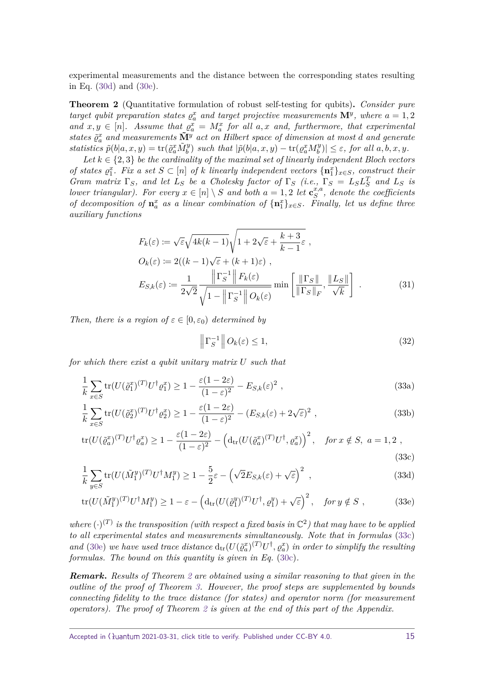experimental measurements and the distance between the corresponding states resulting in Eq. [\(30d\)](#page-13-3) and [\(30e\)](#page-13-4).

**Theorem 2** (Quantitative formulation of robust self-testing for qubits)**.** *Consider pure target qubit preparation states*  $\varrho_a^x$  *and target projective measurements*  $\mathbf{M}^y$ *, where*  $a = 1, 2$ and  $x, y \in [n]$ . Assume that  $\varrho_a^x = M_a^x$  for all  $a, x$  and, furthermore, that experimental *states %*˜ *x <sup>a</sup> and measurements* **M˜** *<sup>y</sup> act on Hilbert space of dimension at most <sup>d</sup> and generate statistics*  $\tilde{p}(b|a, x, y) = \text{tr}(\tilde{\varrho}_a^x \tilde{M}_b^y)$  *such that*  $|\tilde{p}(b|a, x, y) - \text{tr}(\varrho_a^x M_b^y)$  $|b^{(y)}| \leq \varepsilon$ , for all  $a, b, x, y$ .

Let  $k \in \{2,3\}$  be the cardinality of the maximal set of linearly independent Bloch vectors *of states*  $g_1^x$ *. Fix a set*  $S \subset [n]$  *of k linearly independent vectors*  $\{n_1^x\}_{x \in S}$ *, construct their Gram matrix*  $\Gamma_S$ *, and let*  $L_S$  *be a Cholesky factor of*  $\Gamma_S$  *(i.e.,*  $\Gamma_S = L_S L_S^T$  *and*  $L_S$  *is lower triangular). For every*  $x \in [n] \setminus S$  *and both*  $a = 1, 2$  *let*  $\mathbf{c}_{S}^{x,a}$  $\int_{S}^{x,a}$ , denote the coefficients *of decomposition of*  $\mathbf{n}_a^x$  *as a linear combination of*  ${\mathbf{n}_1^x}_{x \in S}$ *. Finally, let us define three auxiliary functions*

$$
F_k(\varepsilon) := \sqrt{\varepsilon} \sqrt{4k(k-1)} \sqrt{1 + 2\sqrt{\varepsilon} + \frac{k+3}{k-1} \varepsilon} ,
$$
  
\n
$$
O_k(\varepsilon) := 2((k-1)\sqrt{\varepsilon} + (k+1)\varepsilon) ,
$$
  
\n
$$
E_{S,k}(\varepsilon) := \frac{1}{2\sqrt{2}} \frac{\|\Gamma_S^{-1}\| F_k(\varepsilon)}{\sqrt{1 - \|\Gamma_S^{-1}\|} O_k(\varepsilon)} \min\left[\frac{\|\Gamma_S\|}{\|\Gamma_S\|_F}, \frac{\|L_S\|}{\sqrt{k}}\right] .
$$
\n(31)

*Then, there is a region of*  $\varepsilon \in [0, \varepsilon_0]$  *determined by* 

<span id="page-14-4"></span><span id="page-14-3"></span><span id="page-14-2"></span><span id="page-14-1"></span><span id="page-14-0"></span>
$$
\left\| \Gamma_S^{-1} \right\| O_k(\varepsilon) \le 1,\tag{32}
$$

*for which there exist a qubit unitary matrix U such that*

$$
\frac{1}{k} \sum_{x \in S} \text{tr}(U(\tilde{\varrho}_1^x)^{(T)} U^{\dagger} \varrho_1^x) \ge 1 - \frac{\varepsilon (1 - 2\varepsilon)}{(1 - \varepsilon)^2} - E_{S,k}(\varepsilon)^2 , \qquad (33a)
$$

$$
\frac{1}{k} \sum_{x \in S} \text{tr}(U(\tilde{\varrho}_2^x)^{(T)} U^{\dagger} \varrho_2^x) \ge 1 - \frac{\varepsilon (1 - 2\varepsilon)}{(1 - \varepsilon)^2} - (E_{S,k}(\varepsilon) + 2\sqrt{\varepsilon})^2 ,\qquad (33b)
$$

$$
\text{tr}(U(\tilde{\varrho}_a^x)^{(T)}U^{\dagger}\varrho_a^x) \ge 1 - \frac{\varepsilon(1-2\varepsilon)}{(1-\varepsilon)^2} - \left(\text{d}_{\text{tr}}(U(\tilde{\varrho}_a^x)^{(T)}U^{\dagger}, \varrho_a^x)\right)^2, \quad \text{for } x \notin S, \ a = 1, 2 \ ,
$$
\n(33c)

$$
\frac{1}{k} \sum_{y \in S} \text{tr}(U(\tilde{M}_1^y)^{(T)} U^{\dagger} M_1^y) \ge 1 - \frac{5}{2} \varepsilon - \left(\sqrt{2} E_{S,k}(\varepsilon) + \sqrt{\varepsilon}\right)^2 ,\tag{33d}
$$

$$
\operatorname{tr}(U(\tilde{M}_1^y)^{(T)}U^{\dagger}M_1^y) \ge 1 - \varepsilon - \left(\operatorname{d}_{\operatorname{tr}}(U(\tilde{\varrho}_1^y)^{(T)}U^{\dagger}, \varrho_1^y) + \sqrt{\varepsilon}\right)^2, \quad \text{for } y \notin S \tag{33e}
$$

where  $(\cdot)^{(T)}$  is the transposition (with respect a fixed basis in  $\mathbb{C}^2$ ) that may have to be applied *to all experimental states and measurements simultaneously. Note that in formulas* [\(33c\)](#page-14-0) and [\(30e\)](#page-13-4) we have used trace distance  $d_{tr}(U(\tilde{g}_a^x)^{(T)}U^{\dagger}, g_a^x)$  in order to simplify the resulting *formulas. The bound on this quantity is given in Eq.* [\(30c\)](#page-13-2)*.*

*Remark***.** *Results of Theorem [2](#page-5-0) are obtained using a similar reasoning to that given in the outline of the proof of Theorem [3.](#page-12-1) However, the proof steps are supplemented by bounds connecting fidelity to the trace distance (for states) and operator norm (for measurement operators). The proof of Theorem [2](#page-5-0) is given at the end of this part of the Appendix.*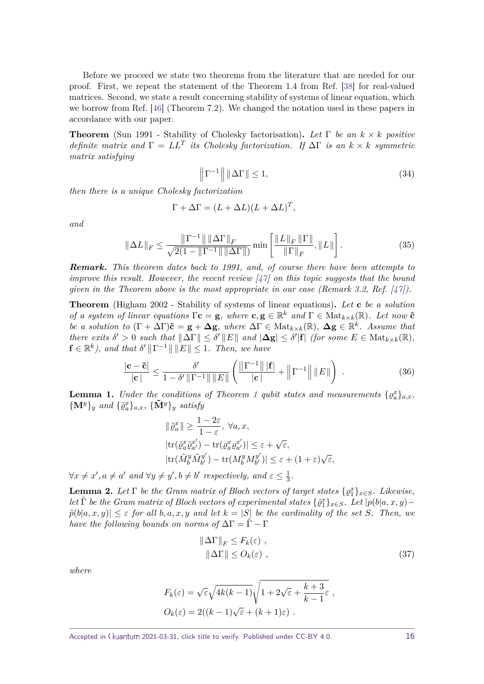Before we proceed we state two theorems from the literature that are needed for our proof. First, we repeat the statement of the Theorem 1.4 from Ref. [\[38\]](#page-27-6) for real-valued matrices. Second, we state a result concerning stability of systems of linear equation, which we borrow from Ref. [\[46\]](#page-27-13) (Theorem 7.2). We changed the notation used in these papers in accordance with our paper.

**Theorem** (Sun 1991 - Stability of Cholesky factorisation)**.** *Let* Γ *be an k* × *k positive definite matrix and*  $\Gamma = LL^T$  *its Cholesky factorization.* If  $\Delta \Gamma$  *is an*  $k \times k$  *symmetric matrix satisfying*

<span id="page-15-4"></span>
$$
\left\| \Gamma^{-1} \right\| \left\| \Delta \Gamma \right\| \le 1,\tag{34}
$$

*then there is a unique Cholesky factorization*

<span id="page-15-3"></span>
$$
\Gamma + \Delta \Gamma = (L + \Delta L)(L + \Delta L)^T,
$$

*and*

$$
\|\Delta L\|_{F} \leq \frac{\|\Gamma^{-1}\| \|\Delta \Gamma\|_{F}}{\sqrt{2(1 - \|\Gamma^{-1}\| \|\Delta \Gamma\|)} \min\left[\frac{\|L\|_{F} \|\Gamma\|}{\|\Gamma\|_{F}}, \|L\|\right].
$$
\n(35)

*Remark***.** *This theorem dates back to 1991, and, of course there have been attempts to improve this result. However, the recent review [\[47\]](#page-27-14) on this topic suggests that the bound given in the Theorem above is the most appropriate in our case (Remark 3.2, Ref.*  $[47]$ *).* 

**Theorem** (Higham 2002 - Stability of systems of linear equations)**.** *Let* **c** *be a solution of a system of linear equations*  $\Gamma$ **c** = **g***, where* **c**, **g**  $\in \mathbb{R}^k$  *and*  $\Gamma \in \text{Mat}_{k \times k}(\mathbb{R})$ *. Let now* **č** *be a solution to*  $(\Gamma + \Delta \Gamma)\tilde{\mathbf{c}} = \mathbf{g} + \Delta \mathbf{g}$ , where  $\Delta \Gamma \in \text{Mat}_{k \times k}(\mathbb{R})$ ,  $\Delta \mathbf{g} \in \mathbb{R}^k$ . Assume that  $\mathcal{L}$  *there exits*  $\delta' > 0$  *such that*  $||\Delta\Gamma|| \leq \delta' ||E||$  *and*  $|\Delta g| \leq \delta' |\mathbf{f}|$  *(for some*  $E \in \text{Mat}_{k \times k}(\mathbb{R})$ *,*  $\mathbf{f} \in \mathbb{R}^k$ ), and that  $\delta' ||\Gamma^{-1}|| ||E|| \leq 1$ . Then, we have

$$
\frac{|\mathbf{c} - \tilde{\mathbf{c}}|}{|\mathbf{c}|} \le \frac{\delta'}{1 - \delta' \|\Gamma^{-1}\| \|E\|} \left( \frac{\|\Gamma^{-1}\| |\mathbf{f}|}{|\mathbf{c}|} + \left\|\Gamma^{-1}\right\| \|E\| \right) . \tag{36}
$$

<span id="page-15-0"></span>**Lemma [1](#page-3-2).** *Under the conditions of Theorem 1 qubit states and measurements*  $\{ \varrho_a^x \}_{a,x}$ ,  ${\bf \{M^y\}}_y$  and  ${\{\tilde{\varrho}_a^x\}}_{a,x}$ ,  ${\{\tilde{\bf{M}^y}\}}_y$  *satisfy* 

$$
\|\tilde{\varrho}_a^x\| \ge \frac{1 - 2\varepsilon}{1 - \varepsilon}, \ \forall a, x,
$$
  
\n
$$
|\text{tr}(\tilde{\varrho}_a^x \tilde{\varrho}_{a'}^{x'}) - \text{tr}(\varrho_a^x \varrho_{a'}^{x'})| \le \varepsilon + \sqrt{\varepsilon},
$$
  
\n
$$
|\text{tr}(\tilde{M}_b^y \tilde{M}_{b'}^{y'}) - \text{tr}(M_b^y M_{b'}^{y'})| \le \varepsilon + (1 + \varepsilon)\sqrt{\varepsilon},
$$

 $\forall x \neq x', a \neq a'$  and  $\forall y \neq y', b \neq b'$  respectively, and  $\varepsilon \leq \frac{1}{3}$  $\frac{1}{3}$ .

<span id="page-15-1"></span>**Lemma 2.** Let  $\Gamma$  be the Gram matrix of Bloch vectors of target states  $\{ \varrho_1^x \}_{x \in S}$ . Likewise, *let*  $\tilde{\Gamma}$  *be the Gram matrix of Bloch vectors of experimental states*  $\{\tilde{\varrho}_1^x\}_{x \in S}$ *. Let*  $|p(b|a, x, y)$  –  $p̄(b|a, x, y)| \leq \varepsilon$  *for all*  $b, a, x, y$  *and let*  $k = |S|$  *be the cardinality of the set S. Then, we have the following bounds on norms of*  $\Delta\Gamma = \tilde{\Gamma} - \Gamma$ 

$$
\|\Delta\Gamma\|_F \le F_k(\varepsilon) ,
$$
  

$$
\|\Delta\Gamma\| \le O_k(\varepsilon) ,
$$
 (37)

*where*

<span id="page-15-2"></span>
$$
F_k(\varepsilon) = \sqrt{\varepsilon} \sqrt{4k(k-1)} \sqrt{1 + 2\sqrt{\varepsilon} + \frac{k+3}{k-1} \varepsilon} ,
$$
  

$$
O_k(\varepsilon) = 2((k-1)\sqrt{\varepsilon} + (k+1)\varepsilon) .
$$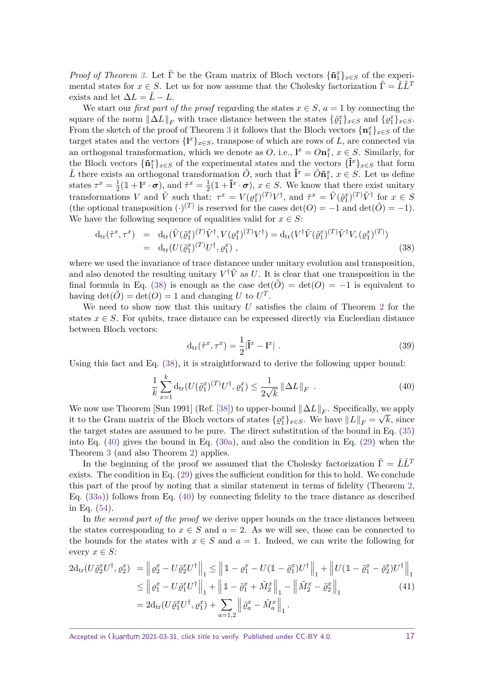*Proof of Theorem [3.](#page-12-1)* Let  $\tilde{\Gamma}$  be the Gram matrix of Bloch vectors  ${\{\tilde{\mathbf{n}}_1^x\}}_{x\in S}$  of the experimental states for  $x \in S$ . Let us for now assume that the Cholesky factorization  $\tilde{\Gamma} = \tilde{L}\tilde{L}^T$ exists and let  $\Delta L = \tilde{L} - L$ .

We start our *first part of the proof* regarding the states  $x \in S$ ,  $a = 1$  by connecting the square of the norm  $||\Delta L||_F$  with trace distance between the states  $\{\tilde{\varrho}_1^x\}_{x\in S}$  and  $\{\varrho_1^x\}_{x\in S}$ . From the sketch of the proof of Theorem [3](#page-12-1) it follows that the Bloch vectors  $\{\mathbf{n}_1^x\}_{x \in S}$  of the target states and the vectors  $\{l^x\}_{x \in S}$ , transpose of which are rows of *L*, are connected via an orthogonal transformation, which we denote as *O*, i.e.,  $\mathbf{l}^x = O\mathbf{n}_1^x$ ,  $x \in S$ . Similarly, for the Bloch vectors  ${\{\tilde{\mathbf{n}}_1^x\}}_{x \in S}$  of the experimental states and the vectors  ${\{\tilde{\mathbf{l}}^x\}}_{x \in S}$  that form Let there exists an orthogonal transformation  $\tilde{O}$ , such that  $\tilde{\mathbf{I}}^x = \tilde{O}\tilde{\mathbf{n}}_1^x$ ,  $x \in S$ . Let us define states  $\tau^x = \frac{1}{2}$  $\frac{1}{2}(\mathbb{1} + \mathbf{l}^x \cdot \boldsymbol{\sigma})$ , and  $\tilde{\tau}^x = \frac{1}{2}$  $\frac{1}{2}(\mathbb{1} + \tilde{\mathbf{l}}^x \cdot \boldsymbol{\sigma})$ ,  $x \in S$ . We know that there exist unitary transformations V and  $\tilde{V}$  such that:  $\tau^x = V(\varrho_1^x)^{(T)}V^{\dagger}$ , and  $\tilde{\tau}^x = \tilde{V}(\tilde{\varrho}_1^x)^{(T)}\tilde{V}^{\dagger}$  for  $x \in S$ (the optional transposition  $(\cdot)^{(T)}$  is reserved for the cases det(*O*) = −1 and det( $\tilde{O}$ ) = −1). We have the following sequence of equalities valid for  $x \in S$ :

$$
d_{\text{tr}}(\tilde{\tau}^x, \tau^x) = d_{\text{tr}}(\tilde{V}(\tilde{\varrho}_1^x)^{(T)}\tilde{V}^\dagger, V(\varrho_1^x)^{(T)}V^\dagger) = d_{\text{tr}}(V^\dagger \tilde{V}(\tilde{\varrho}_1^x)^{(T)}\tilde{V}^\dagger V, (\varrho_1^x)^{(T)})
$$
  
=  $d_{\text{tr}}(U(\tilde{\varrho}_1^x)^{(T)}U^\dagger, \varrho_1^x)$ , (38)

where we used the invariance of trace distancee under unitary evolution and transposition, and also denoted the resulting unitary  $V^{\dagger} \tilde{V}$  as *U*. It is clear that one transposition in the final formula in Eq. [\(38\)](#page-15-2) is enough as the case  $\det(\tilde{O}) = \det(O) = -1$  is equivalent to having  $\det(\tilde{O}) = \det(O) = 1$  and changing *U* to  $U<sup>T</sup>$ .

We need to show now that this unitary *U* satisfies the claim of Theorem [2](#page-5-0) for the states  $x \in S$ . For qubits, trace distance can be expressed directly via Eucleedian distance between Bloch vectors:

<span id="page-16-2"></span>
$$
\mathrm{d}_{\mathrm{tr}}(\tilde{\tau}^x, \tau^x) = \frac{1}{2} |\tilde{\mathbf{l}}^x - \mathbf{l}^x| \ . \tag{39}
$$

Using this fact and Eq. [\(38\)](#page-15-2), it is straightforward to derive the following upper bound:

<span id="page-16-0"></span>
$$
\frac{1}{k} \sum_{x=1}^{k} \mathrm{d}_{\mathrm{tr}}(U(\tilde{\varrho}_{1}^{x})^{(T)}U^{\dagger}, \varrho_{1}^{x}) \le \frac{1}{2\sqrt{k}} \|\Delta L\|_{F} \tag{40}
$$

We now use Theorem [Sun 1991] (Ref. [\[38\]](#page-27-6)) to upper-bound  $\|\Delta L\|_F$ . Specifically, we apply it to the Gram matrix of the Bloch vectors of states  $\{\varrho_1^x\}_{x \in S}$ . We have  $||L||_F = \sqrt{k}$ , since the target states are assumed to be pure. The direct substitution of the bound in Eq. [\(35\)](#page-15-3) into Eq. [\(40\)](#page-16-0) gives the bound in Eq. [\(30a\)](#page-13-0), and also the condition in Eq. [\(29\)](#page-12-3) when the Theorem [3](#page-12-1) (and also Theorem [2\)](#page-5-0) applies.

In the beginning of the proof we assumed that the Cholesky factorization  $\tilde{\Gamma} = \tilde{L}\tilde{L}^T$ exists. The condition in Eq. [\(29\)](#page-12-3) gives the sufficient condition for this to hold. We conclude this part of the proof by noting that a similar statement in terms of fidelity (Theorem [2,](#page-5-0) Eq. [\(33a\)](#page-14-1)) follows from Eq. [\(40\)](#page-16-0) by connecting fidelity to the trace distance as described in Eq. [\(54\)](#page-19-0).

In *the second part of the proof* we derive upper bounds on the trace distances between the states corresponding to  $x \in S$  and  $a = 2$ . As we will see, those can be connected to the bounds for the states with  $x \in S$  and  $a = 1$ . Indeed, we can write the following for every  $x \in S$ :

<span id="page-16-1"></span>
$$
2d_{\text{tr}}(U\tilde{\varrho}_{2}^{x}U^{\dagger},\varrho_{2}^{x}) = \left\| \varrho_{2}^{x} - U\tilde{\varrho}_{2}^{x}U^{\dagger} \right\|_{1} \leq \left\| 1 - \varrho_{1}^{x} - U(1 - \tilde{\varrho}_{1}^{x})U^{\dagger} \right\|_{1} + \left\| U(1 - \tilde{\varrho}_{1}^{x} - \tilde{\varrho}_{2}^{x})U^{\dagger} \right\|_{1}
$$
  
\n
$$
\leq \left\| \varrho_{1}^{x} - U\tilde{\varrho}_{1}^{x}U^{\dagger} \right\|_{1} + \left\| 1 - \tilde{\varrho}_{1}^{x} + \tilde{M}_{2}^{x} \right\|_{1} - \left\| \tilde{M}_{2}^{x} - \tilde{\varrho}_{2}^{x} \right\|_{1}
$$
  
\n
$$
= 2d_{\text{tr}}(U\tilde{\varrho}_{1}^{x}U^{\dagger},\varrho_{1}^{x}) + \sum_{a=1,2} \left\| \tilde{\varrho}_{a}^{x} - \tilde{M}_{a}^{x} \right\|_{1}.
$$
\n(41)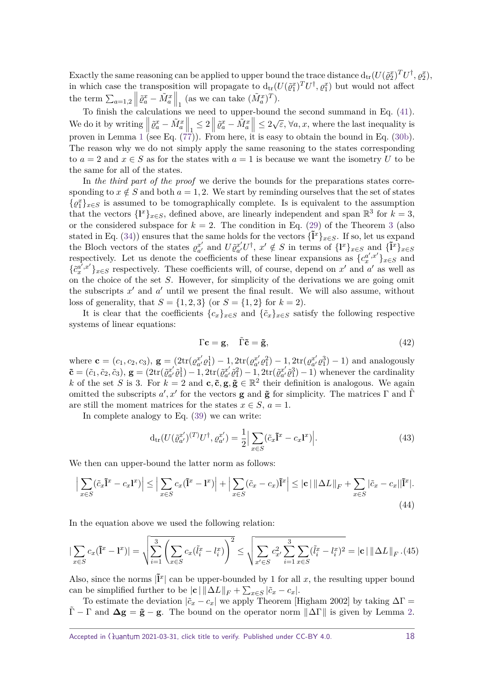Exactly the same reasoning can be applied to upper bound the trace distance  $d_{tr}(U(\tilde{\varrho}_2^x)^TU^\dagger,\varrho_2^x)$ , in which case the transposition will propagate to  $d_{tr}(U(\tilde{\varrho}_1^x)^T U^{\dagger}, \varrho_1^x)$  but would not affect the term  $\sum_{a=1,2}$  $\left|\tilde{\varrho}_a^x - \tilde{M}_a^x\right|$  $\Big|_1$  (as we can take  $(\tilde{M}_a^x)^T$ ).

To finish the calculations we need to upper-bound the second summand in Eq. [\(41\)](#page-16-1). We do it by writing  $\vert$  $\left| \tilde{\varrho}^x_a - \tilde{M}^x_a \right|$  $\left|\frac{1}{1}\leq 2\right|$  $\left|\tilde{\varrho}^x_a - \tilde{M}^x_a\right|$  $\|\leq 2\sqrt{\varepsilon}$ ,  $\forall a, x$ , where the last inequality is proven in Lemma [1](#page-15-0) (see Eq.  $(77)$ ). From here, it is easy to obtain the bound in Eq.  $(30b)$ . The reason why we do not simply apply the same reasoning to the states corresponding to  $a = 2$  and  $x \in S$  as for the states with  $a = 1$  is because we want the isometry U to be the same for all of the states.

In *the third part of the proof* we derive the bounds for the preparations states corresponding to  $x \notin S$  and both  $a = 1, 2$ . We start by reminding ourselves that the set of states  ${φ<sub>1</sub><sup>x</sup>}<sub>x∈S</sub>$  is assumed to be tomographically complete. Is is equivalent to the assumption that the vectors  $\{I^x\}_{x \in S}$ , defined above, are linearly independent and span  $\mathbb{R}^3$  for  $k = 3$ , or the considered subspace for  $k = 2$ . The condition in Eq. [\(29\)](#page-12-3) of the Theorem [3](#page-12-1) (also stated in Eq. [\(34\)](#page-15-4)) ensures that the same holds for the vectors  ${\tilde{\mathbf{l}}^x}_{x \in S}$ . If so, let us expand the Bloch vectors of the states  $\rho_{a'}^{x'}$  $a'$  and  $U\tilde{\varrho}^{x'}_{a'}$  $a'_{a'}U^{\dagger}$ ,  $x' \notin S$  in terms of  $\{I^x\}_{x \in S}$  and  $\{\tilde{I}^x\}_{x \in S}$ respectively. Let us denote the coefficients of these linear expansions as  ${c_x^{a',x'}}_{x \in S}$  and  $\{\tilde{c}_x^{a',x'}\}_{x\in S}$  respectively. These coefficients will, of course, depend on *x*' and *a*' as well as on the choice of the set *S*. However, for simplicity of the derivations we are going omit the subscripts  $x'$  and  $a'$  until we present the final result. We will also assume, without loss of generality, that  $S = \{1, 2, 3\}$  (or  $S = \{1, 2\}$  for  $k = 2$ ).

It is clear that the coefficients  $\{c_x\}_{x \in S}$  and  $\{\tilde{c}_x\}_{x \in S}$  satisfy the following respective systems of linear equations:

$$
\Gamma \mathbf{c} = \mathbf{g}, \quad \tilde{\Gamma} \tilde{\mathbf{c}} = \tilde{\mathbf{g}}, \tag{42}
$$

where  $\mathbf{c} = (c_1, c_2, c_3), \mathbf{g} = (2\text{tr}(\varrho_{a'}^{x'})$  $a'_{a'}e_1^1$ ) - 1, 2tr( $\varrho_{a'}^{x'}$  $a'_{a'} \varrho_1^2$ ) – 1, 2tr( $\varrho_{a'}^{x'}$  $a'_{a'} \varrho_1^3$  – 1) and analogously  $\tilde{\mathbf{c}} = (\tilde{c}_1, \tilde{c}_2, \tilde{c}_3), \mathbf{g} = (2\text{tr}(\tilde{\varrho}_{a'}^{x'})$  $\left( \begin{smallmatrix} x' \ \tilde{\varrho}^1_1 \end{smallmatrix} \right) - 1, 2\mathrm{tr}(\tilde{\varrho}^{x'}_{a'})$  $\tilde{a}^{\prime\prime}$  $\tilde{\varrho}_{1}^{2})-1,$   $2\mathrm{tr}(\tilde{\varrho}_{a^{\prime}}^{x^{\prime}})$  $a'_{a'}\tilde{\varrho}_1^3$  – 1) whenever the cardinality *k* of the set *S* is 3. For  $k = 2$  and  $c, \tilde{c}, g, \tilde{g} \in \mathbb{R}^2$  their definition is analogous. We again omitted the subscripts  $a', x'$  for the vectors **g** and **ğ** for simplicity. The matrices Γ and Γ are still the moment matrices for the states  $x \in S$ ,  $a = 1$ .

In complete analogy to Eq. [\(39\)](#page-16-2) we can write:

$$
d_{\text{tr}}(U(\tilde{\varrho}_{a'}^{x'})^{(T)}U^{\dagger},\varrho_{a'}^{x'}) = \frac{1}{2} \Big| \sum_{x \in S} (\tilde{c}_x \tilde{\mathbf{I}}^x - c_x \mathbf{I}^x) \Big|.
$$
 (43)

We then can upper-bound the latter norm as follows:

<span id="page-17-0"></span>
$$
\left| \sum_{x \in S} (\tilde{c}_x \tilde{\mathbf{i}}^x - c_x \mathbf{i}^x) \right| \le \left| \sum_{x \in S} c_x (\tilde{\mathbf{i}}^x - \mathbf{i}^x) \right| + \left| \sum_{x \in S} (\tilde{c}_x - c_x) \tilde{\mathbf{i}}^x \right| \le |\mathbf{c}| \left| \Delta L \right|_F + \sum_{x \in S} |\tilde{c}_x - c_x| |\tilde{\mathbf{i}}^x|. \tag{44}
$$

In the equation above we used the following relation:

$$
\left| \sum_{x \in S} c_x (\tilde{\mathbf{l}}^x - \mathbf{l}^x) \right| = \sqrt{\sum_{i=1}^3 \left( \sum_{x \in S} c_x (\tilde{l}_i^x - l_i^x) \right)^2} \le \sqrt{\sum_{x' \in S} c_{x'}^2 \sum_{i=1}^3 \sum_{x \in S} (\tilde{l}_i^x - l_i^x)^2} = |\mathbf{c}| \left\| \Delta L \right\|_F (45)
$$

Also, since the norms  $|\tilde{I}^x|$  can be upper-bounded by 1 for all x, the resulting upper bound can be simplified further to be  $|\mathbf{c}| ||\Delta L||_F + \sum_{x \in S} |\tilde{c}_x - c_x|$ .

To estimate the deviation  $|\tilde{c}_x - c_x|$  we apply Theorem [Higham 2002] by taking  $\Delta\Gamma =$  $\Gamma - \Gamma$  and  $\Delta g = \tilde{g} - g$ . The bound on the operator norm  $\|\Delta\Gamma\|$  is given by Lemma [2.](#page-15-1)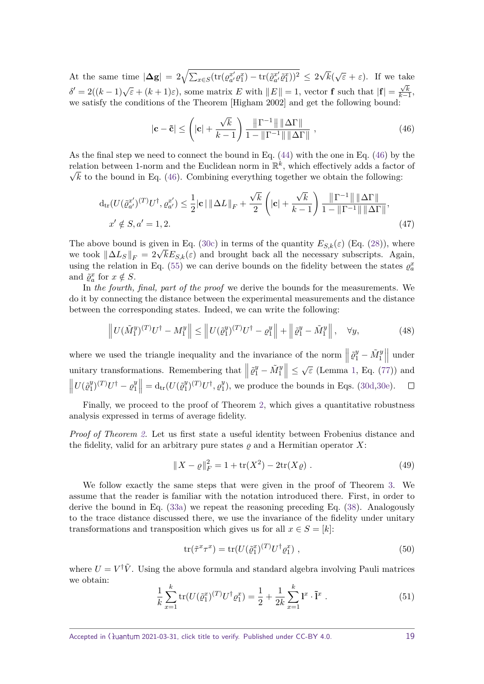At the same time  $|\Delta g| = 2\sqrt{\sum_{x \in S} (\text{tr}(\varrho_{a'}^{x'} \varrho_1^x) - \text{tr}(\tilde{\varrho}_{a'}^{x'} \tilde{\varrho}_1^x))^2} \leq 2$ √  $\sqrt{\varepsilon} + \varepsilon$ . If we take  $\delta' = 2((k-1)\sqrt{\varepsilon} + (k+1)\varepsilon)$ , some matrix *E* with  $||E|| = 1$ , vector **f** such that  $|\mathbf{f}| = \frac{\sqrt{k}}{k-1}$ , we satisfy the conditions of the Theorem [Higham 2002] and get the following bound:

<span id="page-18-0"></span>
$$
|\mathbf{c} - \tilde{\mathbf{c}}| \leq \left(|\mathbf{c}| + \frac{\sqrt{k}}{k-1}\right) \frac{\|\Gamma^{-1}\| \|\Delta \Gamma\|}{1 - \|\Gamma^{-1}\| \|\Delta \Gamma\|},\tag{46}
$$

As the final step we need to connect the bound in Eq. [\(44\)](#page-17-0) with the one in Eq. [\(46\)](#page-18-0) by the relation between 1-norm and the Euclidean norm in  $\mathbb{R}^k$ , which effectively adds a factor of  $\sqrt{k}$  to the bound in Eq. [\(46\)](#page-18-0). Combining everything together we obtain the following:

$$
d_{tr}(U(\tilde{\varrho}_{a'}^{x'})^{(T)}U^{\dagger},\varrho_{a'}^{x'}) \leq \frac{1}{2}|\mathbf{c}|\|\Delta L\|_{F} + \frac{\sqrt{k}}{2}\left(|\mathbf{c}| + \frac{\sqrt{k}}{k-1}\right)\frac{\|\Gamma^{-1}\|\|\Delta\Gamma\|}{1 - \|\Gamma^{-1}\|\|\Delta\Gamma\|},
$$
  

$$
x' \notin S, a' = 1,2.
$$
 (47)

The above bound is given in Eq. [\(30c\)](#page-13-2) in terms of the quantity  $E_{S,k}(\varepsilon)$  (Eq. [\(28\)](#page-12-4)), where The above bound is given in Eq. (30c) in terms of the quantity  $E_{S,k}(\varepsilon)$  (Eq. (28)), where<br>we took  $\|\Delta L_S\|_F = 2\sqrt{k}E_{S,k}(\varepsilon)$  and brought back all the necessary subscripts. Again, using the relation in Eq. [\(55\)](#page-19-1) we can derive bounds on the fidelity between the states  $\varrho_a^x$ and  $\tilde{\varrho}_a^x$  for  $x \notin S$ .

In *the fourth, final, part of the proof* we derive the bounds for the measurements. We do it by connecting the distance between the experimental measurements and the distance between the corresponding states. Indeed, we can write the following:

$$
\left\| U(\tilde{M}_1^y)^{(T)} U^\dagger - M_1^y \right\| \le \left\| U(\tilde{\varrho}_1^y)^{(T)} U^\dagger - \varrho_1^y \right\| + \left\| \tilde{\varrho}_1^y - \tilde{M}_1^y \right\|, \quad \forall y,
$$
\n(48)

where we used the triangle inequality and the invariance of the norm  $\vert$  $\left\| \tilde{\varrho}_1^y - \tilde{M}_1^y \right\|$    under  $\vert \leq \sqrt{\varepsilon}$  (Lemma [1,](#page-15-0) Eq. [\(77\)](#page-23-0)) and unitary transformations. Remembering that |  $\left| \tilde{\varrho}_1^y - \tilde{M}_1^y \right|$  $\begin{array}{c} \begin{array}{c} \begin{array}{c} \end{array} \\ \begin{array}{c} \end{array} \end{array} \end{array}$  $U(\tilde{\varrho}_1^y)$  $\left| \begin{array}{c} y \\ 1 \end{array} \right|$  $= d_{tr}(U(\tilde{\varrho}_1^y))$  $\binom{y}{1}$ <sup>(T)</sup>U<sup>†</sup> –  $\varrho_1^y$  $\binom{y}{1}$ <sup>(T)</sup>U<sup>†</sup>,  $\varrho_1^y$  $\Box$  $_{1}^{y}$ ), we produce the bounds in Eqs. [\(30d,](#page-13-3)[30e\)](#page-13-4).

Finally, we proceed to the proof of Theorem [2,](#page-5-0) which gives a quantitative robustness analysis expressed in terms of average fidelity.

*Proof of Theorem [2.](#page-5-0)* Let us first state a useful identity between Frobenius distance and the fidelity, valid for an arbitrary pure states  $\varrho$  and a Hermitian operator  $X$ :

<span id="page-18-2"></span>
$$
||X - \varrho||_F^2 = 1 + \text{tr}(X^2) - 2\text{tr}(X\varrho).
$$
 (49)

We follow exactly the same steps that were given in the proof of Theorem [3.](#page-12-1) We assume that the reader is familiar with the notation introduced there. First, in order to derive the bound in Eq. [\(33a\)](#page-14-1) we repeat the reasoning preceding Eq. [\(38\)](#page-15-2). Analogously to the trace distance discussed there, we use the invariance of the fidelity under unitary transformations and transposition which gives us for all  $x \in S = [k]$ :

$$
\text{tr}(\tilde{\tau}^x \tau^x) = \text{tr}(U(\tilde{\varrho}_1^x)^{(T)} U^{\dagger} \varrho_1^x) \tag{50}
$$

where  $U = V^{\dagger} \tilde{V}$ . Using the above formula and standard algebra involving Pauli matrices we obtain:

<span id="page-18-1"></span>
$$
\frac{1}{k} \sum_{x=1}^{k} \text{tr}(U(\tilde{\varrho}_{1}^{x})^{(T)}U^{\dagger} \varrho_{1}^{x}) = \frac{1}{2} + \frac{1}{2k} \sum_{x=1}^{k} \mathbf{l}^{x} \cdot \tilde{\mathbf{l}}^{x} . \tag{51}
$$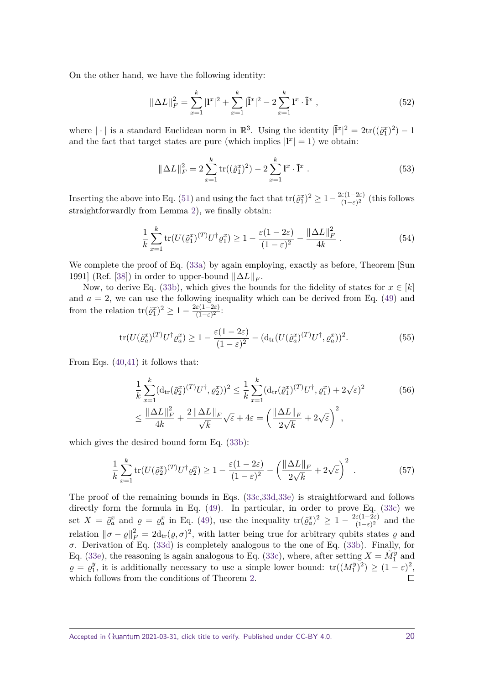On the other hand, we have the following identity:

$$
\|\Delta L\|_{F}^{2} = \sum_{x=1}^{k} |{\bf l}^{x}|^{2} + \sum_{x=1}^{k} |\tilde{\bf l}^{x}|^{2} - 2\sum_{x=1}^{k} {\bf l}^{x} \cdot \tilde{\bf l}^{x} , \qquad (52)
$$

where  $|\cdot|$  is a standard Euclidean norm in  $\mathbb{R}^3$ . Using the identity  $|\tilde{\mathbf{I}}^x|^2 = 2 \text{tr}((\tilde{\varrho}_1^x)^2) - 1$ and the fact that target states are pure (which implies  $|\mathbf{l}^x| = 1$ ) we obtain:

$$
\|\Delta L\|_F^2 = 2\sum_{x=1}^k \text{tr}((\tilde{\varrho}_1^x)^2) - 2\sum_{x=1}^k \mathbf{l}^x \cdot \tilde{\mathbf{l}}^x \,. \tag{53}
$$

Inserting the above into Eq. [\(51\)](#page-18-1) and using the fact that  $\text{tr}(\tilde{\varrho}_1^x)^2 \geq 1 - \frac{2\varepsilon(1-2\varepsilon)}{(1-\varepsilon)^2}$  $\frac{(\varepsilon(1-2\varepsilon))}{(1-\varepsilon)^2}$  (this follows straightforwardly from Lemma [2\)](#page-15-1), we finally obtain:

<span id="page-19-0"></span>
$$
\frac{1}{k} \sum_{x=1}^{k} \text{tr}(U(\tilde{\varrho}_1^{x})^{(T)} U^{\dagger} \varrho_1^{x}) \ge 1 - \frac{\varepsilon (1 - 2\varepsilon)}{(1 - \varepsilon)^2} - \frac{\|\Delta L\|_F^2}{4k} \,. \tag{54}
$$

We complete the proof of Eq. [\(33a\)](#page-14-1) by again employing, exactly as before, Theorem [Sun 1991] (Ref. [\[38\]](#page-27-6)) in order to upper-bound  $\|\Delta L\|_F$ .

Now, to derive Eq. [\(33b\)](#page-14-2), which gives the bounds for the fidelity of states for  $x \in [k]$ and  $a = 2$ , we can use the following inequality which can be derived from Eq. [\(49\)](#page-18-2) and from the relation  $\text{tr}(\tilde{\varrho}_1^x)^2 \geq 1 - \frac{2\varepsilon(1-2\varepsilon)}{(1-\varepsilon)^2}$  $\frac{\varepsilon(1-2\varepsilon)}{(1-\varepsilon)^2}$ :

<span id="page-19-1"></span>
$$
\operatorname{tr}(U(\tilde{\varrho}_a^x)^{(T)}U^\dagger \varrho_a^x) \ge 1 - \frac{\varepsilon (1 - 2\varepsilon)}{(1 - \varepsilon)^2} - (\operatorname{d}_{\operatorname{tr}}(U(\tilde{\varrho}_a^x)^{(T)}U^\dagger, \varrho_a^x))^2. \tag{55}
$$

From Eqs. [\(40,](#page-16-0)[41\)](#page-16-1) it follows that:

$$
\frac{1}{k} \sum_{x=1}^{k} (\mathrm{d}_{\mathrm{tr}}(\tilde{\varrho}_{2}^{x})^{(T)} U^{\dagger}, \varrho_{2}^{x}))^{2} \leq \frac{1}{k} \sum_{x=1}^{k} (\mathrm{d}_{\mathrm{tr}}(\tilde{\varrho}_{1}^{x})^{(T)} U^{\dagger}, \varrho_{1}^{x}) + 2\sqrt{\varepsilon})^{2} \n\leq \frac{\|\Delta L\|_{F}^{2}}{4k} + \frac{2\|\Delta L\|_{F}}{\sqrt{k}} \sqrt{\varepsilon} + 4\varepsilon = \left(\frac{\|\Delta L\|_{F}}{2\sqrt{k}} + 2\sqrt{\varepsilon}\right)^{2},
$$
\n(56)

which gives the desired bound form Eq. [\(33b\)](#page-14-2):

$$
\frac{1}{k} \sum_{x=1}^{k} \text{tr}(U(\tilde{\varrho}_2^x)^{(T)} U^{\dagger} \varrho_2^x) \ge 1 - \frac{\varepsilon (1 - 2\varepsilon)}{(1 - \varepsilon)^2} - \left(\frac{\|\Delta L\|_F}{2\sqrt{k}} + 2\sqrt{\varepsilon}\right)^2. \tag{57}
$$

The proof of the remaining bounds in Eqs. [\(33c](#page-14-0)[,33d](#page-14-3)[,33e\)](#page-14-4) is straightforward and follows directly form the formula in Eq. [\(49\)](#page-18-2). In particular, in order to prove Eq. [\(33c\)](#page-14-0) we set  $X = \tilde{\varrho}_a^x$  and  $\varrho = \varrho_a^x$  in Eq. [\(49\)](#page-18-2), use the inequality  $tr(\tilde{\varrho}_a^x)^2 \geq 1 - \frac{2\varepsilon(1-2\varepsilon)}{(1-\varepsilon)^2}$  $\frac{(\varepsilon(1-2\varepsilon))}{(1-\varepsilon)^2}$  and the relation  $\|\sigma - \varrho\|_F^2 = 2d_{tr}(\varrho, \sigma)^2$ , with latter being true for arbitrary qubits states  $\varrho$  and *σ*. Derivation of Eq. [\(33d\)](#page-14-3) is completely analogous to the one of Eq. [\(33b\)](#page-14-2). Finally, for Eq. [\(33e\)](#page-14-4), the reasoning is again analogous to Eq. [\(33c\)](#page-14-0), where, after setting  $X = \tilde{M}_1^y$  and  $\varrho = \varrho_1^y$ <sup>*y*</sup><sub>1</sub>, it is additionally necessary to use a simple lower bound:  $tr((M_1^y))$  $\binom{y}{1}^2 \geq (1-\varepsilon)^2,$ which follows from the conditions of Theorem [2.](#page-5-0)  $\Box$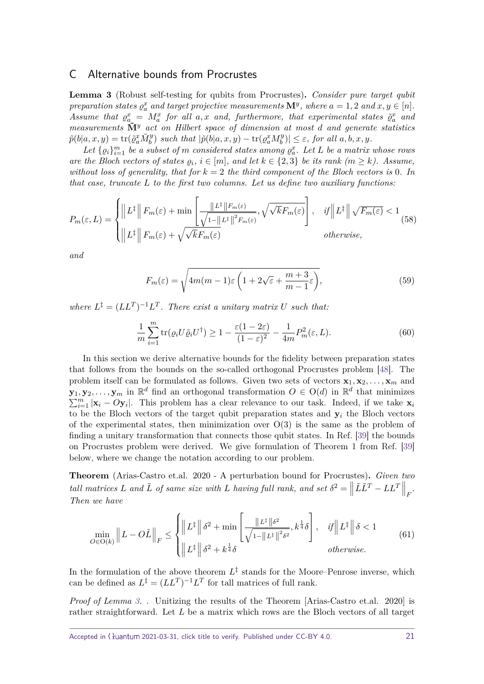#### <span id="page-20-0"></span>C Alternative bounds from Procrustes

<span id="page-20-1"></span>**Lemma 3** (Robust self-testing for qubits from Procrustes)**.** *Consider pure target qubit preparation states*  $\varrho_a^x$  *and target projective measurements*  $\mathbf{M}^y$ *, where*  $a = 1, 2$  *and*  $x, y \in [n]$ *. Assume that*  $\varrho_{a}^{x} = M_{a}^{x}$  *for all a,x and, furthermore, that experimental states*  $\tilde{\varrho}_{a}^{x}$  *and measurements*  $\tilde{M}$ <sup>*y*</sup> *act on Hilbert space of dimension at most <i>d and generate statistics*  $\tilde{p}(b|a,x,y) = \text{tr}(\tilde{\varrho}_a^x \tilde{M}_b^y)$  *such that*  $|\tilde{p}(b|a,x,y) - \text{tr}(\varrho_a^x M_b^y)$  $|b^{(y)}| \leq \varepsilon$ , for all  $a, b, x, y$ .

Let  $\{ \varrho_i \}_{i=1}^m$  be a subset of *m* considered states among  $\varrho_a^x$ . Let L be a matrix whose rows *are the Bloch vectors of states*  $\varrho_i$ ,  $i \in [m]$ , and let  $k \in \{2,3\}$  be its rank  $(m \geq k)$ . Assume, *without loss of generality, that for*  $k = 2$  *the third component of the Bloch vectors is* 0*. In that case, truncate L to the first two columns. Let us define two auxiliary functions:*

$$
P_m(\varepsilon, L) = \begin{cases} \left\| L^{\ddagger} \right\| F_m(\varepsilon) + \min \left[ \frac{\| L^{\ddagger} \| F_m(\varepsilon)}{\sqrt{1 - \| L^{\ddagger} \|^2 F_m(\varepsilon)}}, \sqrt{\sqrt{k} F_m(\varepsilon)} \right], & \text{if } \left\| L^{\ddagger} \right\| \sqrt{F_m(\varepsilon)} < 1\\ \left\| L^{\ddagger} \right\| F_m(\varepsilon) + \sqrt{\sqrt{k} F_m(\varepsilon)} & \text{otherwise,} \end{cases} \tag{58}
$$

*and*

$$
F_m(\varepsilon) = \sqrt{4m(m-1)\varepsilon \left(1 + 2\sqrt{\varepsilon} + \frac{m+3}{m-1}\varepsilon\right)},\tag{59}
$$

*where*  $L^{\ddagger} = (LL^T)^{-1}L^T$ . There exist a unitary matrix U such that:

$$
\frac{1}{m}\sum_{i=1}^{m}\text{tr}(\varrho_{i}U\tilde{\varrho}_{i}U^{\dagger}) \ge 1 - \frac{\varepsilon(1-2\varepsilon)}{(1-\varepsilon)^{2}} - \frac{1}{4m}P_{m}^{2}(\varepsilon, L). \tag{60}
$$

In this section we derive alternative bounds for the fidelity between preparation states that follows from the bounds on the so-called orthogonal Procrustes problem [\[48\]](#page-27-15). The problem itself can be formulated as follows. Given two sets of vectors  $\mathbf{x}_1, \mathbf{x}_2, \ldots, \mathbf{x}_m$  and **y**<sub>1</sub>, **y**<sub>2</sub>, . . . , **y**<sub>*m*</sub> in  $\mathbb{R}^d$  find an orthogonal transformation  $O \in O(d)$  in  $\mathbb{R}^d$  that minimizes  $\sum_{i=1}^{m} |\mathbf{x}_i - O\mathbf{y}_i|$ . This problem has a clear relevance to our task. Indeed, if we take  $\mathbf{x}_i$ to be the Bloch vectors of the target qubit preparation states and  $y_i$  the Bloch vectors of the experimental states, then minimization over  $O(3)$  is the same as the problem of finding a unitary transformation that connects those qubit states. In Ref. [\[39\]](#page-27-7) the bounds on Procrustes problem were derived. We give formulation of Theorem 1 from Ref. [\[39\]](#page-27-7) below, where we change the notation according to our problem.

**Theorem** (Arias-Castro et.al. 2020 - A perturbation bound for Procrustes)**.** *Given two tall matrices L and*  $\tilde{L}$  *of same size with L having full rank, and set*  $\delta^2 = \begin{bmatrix} 1 & 0 \\ 0 & 1 \end{bmatrix}$  $\left\| \tilde{L}\tilde{L}^T - LL^T \right\|$  $\big\|_F.$ *Then we have*

<span id="page-20-2"></span>
$$
\min_{O \in \mathcal{O}(k)} \|L - O\tilde{L}\|_{F} \leq \begin{cases} \|L^{\ddagger}\| \delta^{2} + \min\left[\frac{\|L^{\ddagger}\| \delta^{2}}{\sqrt{1 - \|L^{\ddagger}\|^{2} \delta^{2}}}, k^{\frac{1}{4}}\delta\right], & if \|L^{\ddagger}\| \delta < 1\\ \|L^{\ddagger}\| \delta^{2} + k^{\frac{1}{4}}\delta & otherwise. \end{cases}
$$
(61)

In the formulation of the above theorem  $L^{\ddagger}$  stands for the Moore–Penrose inverse, which can be defined as  $L^{\ddagger} = (LL^T)^{-1}L^T$  for tall matrices of full rank.

*Proof of Lemma [3.](#page-20-1)* . Unitizing the results of the Theorem [Arias-Castro et.al. 2020] is rather straightforward. Let *L* be a matrix which rows are the Bloch vectors of all target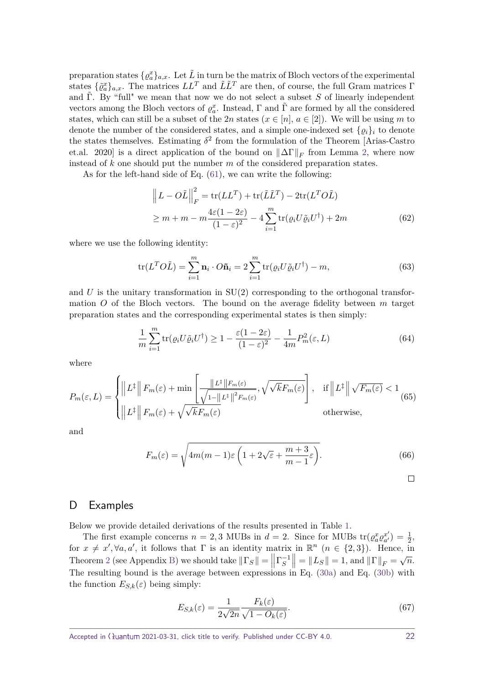preparation states  $\{ \varrho_a^x \}_{a,x}$ . Let  $\tilde{L}$  in turn be the matrix of Bloch vectors of the experimental states  $\{\tilde{\varrho}_a^x\}_{a,x}$ . The matrices  $LL^T$  and  $\tilde{L}\tilde{L}^T$  are then, of course, the full Gram matrices  $\Gamma$ and  $\tilde{\Gamma}$ . By "full" we mean that now we do not select a subset *S* of linearly independent vectors among the Bloch vectors of  $\varrho_a^x$ . Instead,  $\Gamma$  and  $\tilde{\Gamma}$  are formed by all the considered states, which can still be a subset of the 2*n* states  $(x \in [n], a \in [2])$ . We will be using *m* to denote the number of the considered states, and a simple one-indexed set  $\{ \varrho_i \}_i$  to denote the states themselves. Estimating  $\delta^2$  from the formulation of the Theorem [Arias-Castro et.al. 2020] is a direct application of the bound on  $\|\Delta\Gamma\|_F$  from Lemma [2,](#page-15-1) where now instead of *k* one should put the number *m* of the considered preparation states.

As for the left-hand side of Eq. [\(61\)](#page-20-2), we can write the following:

$$
\left\| L - O\tilde{L} \right\|_{F}^{2} = \text{tr}(LL^{T}) + \text{tr}(\tilde{L}\tilde{L}^{T}) - 2\text{tr}(L^{T}O\tilde{L})
$$
  
\n
$$
\geq m + m - m\frac{4\varepsilon(1 - 2\varepsilon)}{(1 - \varepsilon)^{2}} - 4\sum_{i=1}^{m} \text{tr}(\varrho_{i}U\tilde{\varrho}_{i}U^{\dagger}) + 2m
$$
 (62)

where we use the following identity:

$$
\text{tr}(L^T O \tilde{L}) = \sum_{i=1}^m \mathbf{n}_i \cdot O \tilde{\mathbf{n}}_i = 2 \sum_{i=1}^m \text{tr}(\varrho_i U \tilde{\varrho}_i U^{\dagger}) - m,\tag{63}
$$

and  $U$  is the unitary transformation in  $SU(2)$  corresponding to the orthogonal transformation *O* of the Bloch vectors. The bound on the average fidelity between *m* target preparation states and the corresponding experimental states is then simply:

$$
\frac{1}{m}\sum_{i=1}^{m}\text{tr}(\varrho_{i}U\tilde{\varrho}_{i}U^{\dagger}) \ge 1 - \frac{\varepsilon(1-2\varepsilon)}{(1-\varepsilon)^{2}} - \frac{1}{4m}P_{m}^{2}(\varepsilon, L)
$$
\n(64)

where

$$
P_m(\varepsilon, L) = \begin{cases} \left\| L^\ddagger \right\| F_m(\varepsilon) + \min \left[ \frac{\left\| L^\ddagger \right\| F_m(\varepsilon)}{\sqrt{1 - \left\| L^\ddagger \right\|^2 F_m(\varepsilon)}}, \sqrt{\sqrt{k} F_m(\varepsilon)} \right], & \text{if } \left\| L^\ddagger \right\| \sqrt{F_m(\varepsilon)} < 1\\ \left\| L^\ddagger \right\| F_m(\varepsilon) + \sqrt{\sqrt{k} F_m(\varepsilon)} & \text{otherwise,} \end{cases} \tag{65}
$$

and

$$
F_m(\varepsilon) = \sqrt{4m(m-1)\varepsilon \left(1 + 2\sqrt{\varepsilon} + \frac{m+3}{m-1}\varepsilon\right)}.
$$
\n(66)

$$
\Box
$$

#### <span id="page-21-0"></span>D Examples

Below we provide detailed derivations of the results presented in Table [1.](#page-7-0)

The first example concerns  $n = 2, 3$  MUBs in  $d = 2$ . Since for MUBs  $tr(\varrho_a^x \varrho_{a'}^{x'}$  $a^{x'}_a$ ) =  $\frac{1}{2}$ , for  $x \neq x'$ ,  $\forall a, a'$ , it follows that  $\Gamma$  is an identity matrix in  $\mathbb{R}^n$   $(n \in \{2,3\})$ . Hence, in Theorem [2](#page-5-0) (see Appendix [B\)](#page-12-0) we should take  $\|\Gamma_S\| = \left|\frac{\Gamma}{\Gamma} \right\|$  $\left|\Gamma_S^{-1}\right|$  $= ||L_S|| = 1$ , and  $||\Gamma||_F = \sqrt{n}$ . The resulting bound is the average between expressions in Eq. [\(30a\)](#page-13-0) and Eq. [\(30b\)](#page-13-1) with the function  $E_{S,k}(\varepsilon)$  being simply:

$$
E_{S,k}(\varepsilon) = \frac{1}{2\sqrt{2n}} \frac{F_k(\varepsilon)}{\sqrt{1 - O_k(\varepsilon)}}.
$$
\n(67)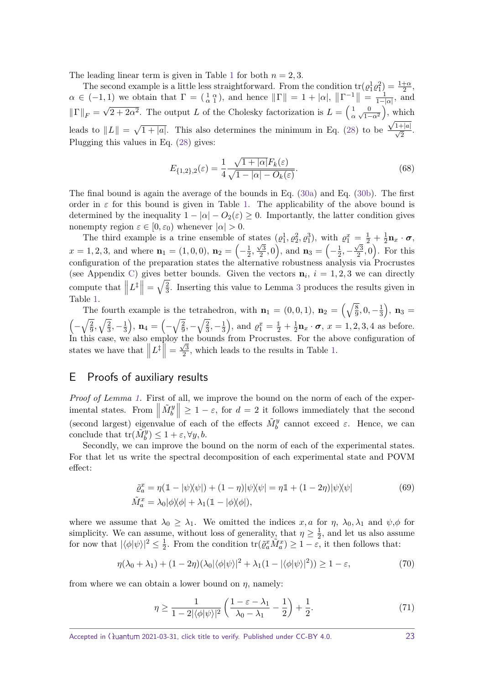The leading linear term is given in Table [1](#page-7-0) for both  $n = 2, 3$ .

The second example is a little less straightforward. From the condition  $tr(\varrho_1^1 \varrho_1^2) = \frac{1+\alpha}{2}$ ,  $\alpha \in (-1,1)$  we obtain that  $\Gamma = (\frac{1}{\alpha} \frac{\alpha}{1})$ , and hence  $\|\Gamma\| = 1 + |\alpha|, \|\Gamma^{-1}\| = \frac{1}{1-1}$  $\frac{1}{1-|\alpha|}$ , and  $\|\Gamma\|_F = \sqrt{2 + 2\alpha^2}$ . The output *L* of the Cholesky factorization is  $L = \begin{pmatrix} 1 & 0 \\ \alpha \sqrt{1 - 2\alpha^2} & 1 \end{pmatrix}$ √  $\frac{1}{\alpha} \frac{0}{\sqrt{1-\alpha^2}}$ , which leads to  $||L|| = \sqrt{1+|a|}$ . This also determines the minimum in Eq. [\(28\)](#page-12-4) to be  $\frac{\sqrt{1+|a|}}{\sqrt{2}}$ . Plugging this values in Eq. [\(28\)](#page-12-4) gives:

$$
E_{\{1,2\},2}(\varepsilon) = \frac{1}{4} \frac{\sqrt{1+|\alpha|} F_k(\varepsilon)}{\sqrt{1-|\alpha| - O_k(\varepsilon)}}.
$$
\n(68)

The final bound is again the average of the bounds in Eq. [\(30a\)](#page-13-0) and Eq. [\(30b\)](#page-13-1). The first order in  $\varepsilon$  for this bound is given in Table [1.](#page-7-0) The applicability of the above bound is determined by the inequality  $1 - |\alpha| - O_2(\varepsilon) \geq 0$ . Importantly, the latter condition gives nonempty region  $\varepsilon \in [0, \varepsilon_0)$  whenever  $|\alpha| > 0$ .

The third example is a trine ensemble of states  $(\varrho_1^1, \varrho_2^2, \varrho_1^3)$ , with  $\varrho_1^x = \frac{1}{2} + \frac{1}{2}$  $\frac{1}{2}n_x \cdot \sigma,$  $x = 1, 2, 3$ , and where  $\mathbf{n}_1 = (1, 0, 0)$ ,  $\mathbf{n}_2 = \left(-\frac{1}{2}\right)$  $\frac{1}{2}$ ,  $\frac{1}{\sqrt{3}}$  $\left(\frac{\sqrt{3}}{2},0\right)$ , and  $\mathbf{n}_3 = \left(-\frac{1}{2}\right)$  $\frac{1}{2}$ , –  $\sqrt{3}$  $\left(\frac{\sqrt{3}}{2},0\right)$ . For this configuration of the preparation states the alternative robustness analysis via Procrustes (see Appendix [C\)](#page-20-0) gives better bounds. Given the vectors  $n_i$ ,  $i = 1, 2, 3$  we can directly compute that  $\vert$  $|L^{\ddagger}|$  $\Big| = \sqrt{\frac{2}{3}}$  $\frac{2}{3}$  $\frac{2}{3}$  $\frac{2}{3}$ . Inserting this value to Lemma 3 produces the results given in Table [1.](#page-7-0)

The fourth example is the tetrahedron, with  $\mathbf{n}_1 = (0, 0, 1), \mathbf{n}_2 = \left(\sqrt{\frac{8}{9}}\right)$  $\frac{8}{9}$ , 0,  $-\frac{1}{3}$  $(\frac{1}{3}), \mathbf{n}_3 =$  $\left(-\sqrt{\frac{2}{9}}\right)$  $\overline{\frac{2}{9}}, \sqrt{\frac{2}{3}}$  $\frac{2}{3}, -\frac{1}{3}$  $\left(\frac{1}{3}\right)$ ,  $\mathbf{n}_4 = \left(-\sqrt{\frac{2}{9}}\right)$  $\sqrt{\frac{2}{3}}, -\sqrt{\frac{2}{3}}$  $\frac{2}{3}, -\frac{1}{3}$  $(\frac{1}{3})$ , and  $\varrho_1^x = \frac{1}{2} + \frac{1}{2}$  $\frac{1}{2}$ **n**<sub>*x*</sub> ·  $\sigma$ , *x* = 1, 2, 3, 4 as before. In this case, we also employ the bounds from Procrustes. For the above configuration of states we have that  $\vert$  $|L^{\ddagger}|$  $\Big| =$ √ 3  $\frac{\sqrt{3}}{2}$ , which leads to the results in Table [1.](#page-7-0)

## <span id="page-22-0"></span>E Proofs of auxiliary results

*Proof of Lemma [1.](#page-15-0)* First of all, we improve the bound on the norm of each of the experimental states. From  $\left\| \tilde{M}_b^y \right\| \geq 1 - \varepsilon$ , for  $d = 2$  it follows immediately that the second (second largest) eigenvalue of each of the effects  $\tilde{M}_{b}^{y}$  cannot exceed  $\varepsilon$ . Hence, we can conclude that  $tr(\tilde{M}_b^y) \leq 1 + \varepsilon, \forall y, b$ .

Secondly, we can improve the bound on the norm of each of the experimental states. For that let us write the spectral decomposition of each experimental state and POVM effect:

$$
\tilde{\varrho}_a^x = \eta(\mathbb{1} - |\psi \rangle \langle \psi|) + (1 - \eta)|\psi \rangle \langle \psi| = \eta \mathbb{1} + (1 - 2\eta)|\psi \rangle \langle \psi|
$$
\n
$$
\tilde{M}_a^x = \lambda_0 |\phi \rangle \langle \phi| + \lambda_1 (\mathbb{1} - |\phi \rangle \langle \phi|),
$$
\n(69)

where we assume that  $\lambda_0 \geq \lambda_1$ . We omitted the indices x, a for  $\eta$ ,  $\lambda_0$ ,  $\lambda_1$  and  $\psi$ ,  $\phi$  for simplicity. We can assume, without loss of generality, that  $\eta \geq \frac{1}{2}$  $\frac{1}{2}$ , and let us also assume for now that  $|\langle \phi | \psi \rangle|^2 \leq \frac{1}{2}$  $\frac{1}{2}$ . From the condition  $\text{tr}(\tilde{\varrho}_a^x \tilde{M}_a^x) \geq 1 - \varepsilon$ , it then follows that:

<span id="page-22-1"></span>
$$
\eta(\lambda_0 + \lambda_1) + (1 - 2\eta)(\lambda_0|\langle \phi | \psi \rangle|^2 + \lambda_1(1 - |\langle \phi | \psi \rangle|^2)) \ge 1 - \varepsilon,
$$
\n(70)

from where we can obtain a lower bound on *η*, namely:

$$
\eta \ge \frac{1}{1 - 2|\langle \phi | \psi \rangle|^2} \left( \frac{1 - \varepsilon - \lambda_1}{\lambda_0 - \lambda_1} - \frac{1}{2} \right) + \frac{1}{2}.\tag{71}
$$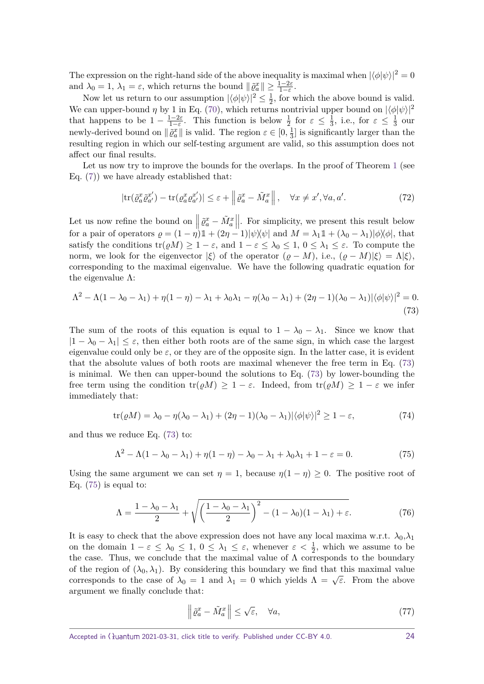The expression on the right-hand side of the above inequality is maximal when  $|\langle \phi | \psi \rangle|^2 = 0$ and  $\lambda_0 = 1$ ,  $\lambda_1 = \varepsilon$ , which returns the bound  $\|\tilde{\varrho}_a^x\| \ge \frac{1-2\varepsilon}{1-\varepsilon}$ .

Now let us return to our assumption  $|\langle \phi | \psi \rangle|^2 \leq \frac{1}{2}$  $\frac{1}{2}$ , for which the above bound is valid. We can upper-bound  $\eta$  by 1 in Eq. [\(70\)](#page-22-1), which returns nontrivial upper bound on  $|\langle \phi | \psi \rangle|^2$ that happens to be  $1 - \frac{1-2\varepsilon}{1-\varepsilon}$  $\frac{1-2\varepsilon}{1-\varepsilon}$ . This function is below  $\frac{1}{2}$  for  $\varepsilon \leq \frac{1}{3}$  $\frac{1}{3}$ , i.e., for  $\varepsilon \leq \frac{1}{3}$  $rac{1}{3}$  our newly-derived bound on  $\|\tilde{\varrho}_a^x\|$  is valid. The region  $\varepsilon \in [0, \frac{1}{3}]$  $\frac{1}{3}$  is significantly larger than the resulting region in which our self-testing argument are valid, so this assumption does not affect our final results.

Let us now try to improve the bounds for the overlaps. In the proof of Theorem [1](#page-3-2) (see Eq. [\(7\)](#page-4-1)) we have already established that:

$$
|\text{tr}(\tilde{\varrho}_a^x \tilde{\varrho}_{a'}^{x'}) - \text{tr}(\varrho_a^x \varrho_{a'}^{x'})| \le \varepsilon + \left\| \tilde{\varrho}_a^x - \tilde{M}_a^x \right\|, \quad \forall x \ne x', \forall a, a'. \tag{72}
$$

Let us now refine the bound on  $\left| \right|$  $\left| \tilde{\varrho}_a^x - \tilde{M}_a^x \right|$ . For simplicity, we present this result below for a pair of operators  $\rho = (1 - \eta) \mathbb{1} + (2\eta - 1) |\psi\rangle\psi|$  and  $M = \lambda_1 \mathbb{1} + (\lambda_0 - \lambda_1) |\phi\rangle\psi|$ , that satisfy the conditions  $tr(\varrho M) \geq 1 - \varepsilon$ , and  $1 - \varepsilon \leq \lambda_0 \leq 1$ ,  $0 \leq \lambda_1 \leq \varepsilon$ . To compute the norm, we look for the eigenvector  $|\xi\rangle$  of the operator  $(\varrho - M)$ , i.e.,  $(\varrho - M)|\xi\rangle = \Lambda |\xi\rangle$ , corresponding to the maximal eigenvalue. We have the following quadratic equation for the eigenvalue  $\Lambda$ :

<span id="page-23-1"></span>
$$
\Lambda^2 - \Lambda(1 - \lambda_0 - \lambda_1) + \eta(1 - \eta) - \lambda_1 + \lambda_0 \lambda_1 - \eta(\lambda_0 - \lambda_1) + (2\eta - 1)(\lambda_0 - \lambda_1)|\langle \phi | \psi \rangle|^2 = 0.
$$
\n(73)

The sum of the roots of this equation is equal to  $1 - \lambda_0 - \lambda_1$ . Since we know that  $|1 - \lambda_0 - \lambda_1| \leq \varepsilon$ , then either both roots are of the same sign, in which case the largest eigenvalue could only be  $\varepsilon$ , or they are of the opposite sign. In the latter case, it is evident that the absolute values of both roots are maximal whenever the free term in Eq. [\(73\)](#page-23-1) is minimal. We then can upper-bound the solutions to Eq. [\(73\)](#page-23-1) by lower-bounding the free term using the condition  $tr(\rho M) \geq 1 - \varepsilon$ . Indeed, from  $tr(\rho M) \geq 1 - \varepsilon$  we infer immediately that:

$$
\operatorname{tr}(\varrho M) = \lambda_0 - \eta(\lambda_0 - \lambda_1) + (2\eta - 1)(\lambda_0 - \lambda_1)|\langle\phi|\psi\rangle|^2 \ge 1 - \varepsilon,\tag{74}
$$

and thus we reduce Eq. [\(73\)](#page-23-1) to:

<span id="page-23-2"></span>
$$
\Lambda^2 - \Lambda(1 - \lambda_0 - \lambda_1) + \eta(1 - \eta) - \lambda_0 - \lambda_1 + \lambda_0\lambda_1 + 1 - \varepsilon = 0.
$$
 (75)

Using the same argument we can set  $\eta = 1$ , because  $\eta(1 - \eta) \geq 0$ . The positive root of Eq.  $(75)$  is equal to:

$$
\Lambda = \frac{1 - \lambda_0 - \lambda_1}{2} + \sqrt{\left(\frac{1 - \lambda_0 - \lambda_1}{2}\right)^2 - (1 - \lambda_0)(1 - \lambda_1) + \varepsilon}.\tag{76}
$$

It is easy to check that the above expression does not have any local maxima w.r.t.  $\lambda_0, \lambda_1$ on the domain  $1 - \varepsilon \leq \lambda_0 \leq 1$ ,  $0 \leq \lambda_1 \leq \varepsilon$ , whenever  $\varepsilon < \frac{1}{2}$ , which we assume to be the case. Thus, we conclude that the maximal value of  $\Lambda$  corresponds to the boundary of the region of  $(\lambda_0, \lambda_1)$ . By considering this boundary we find that this maximal value corresponds to the case of  $\lambda_0 = 1$  and  $\lambda_1 = 0$  which yields  $\Lambda = \sqrt{\epsilon}$ . From the above argument we finally conclude that:

<span id="page-23-0"></span>
$$
\left\| \tilde{\varrho}_a^x - \tilde{M}_a^x \right\| \le \sqrt{\varepsilon}, \quad \forall a,
$$
\n(77)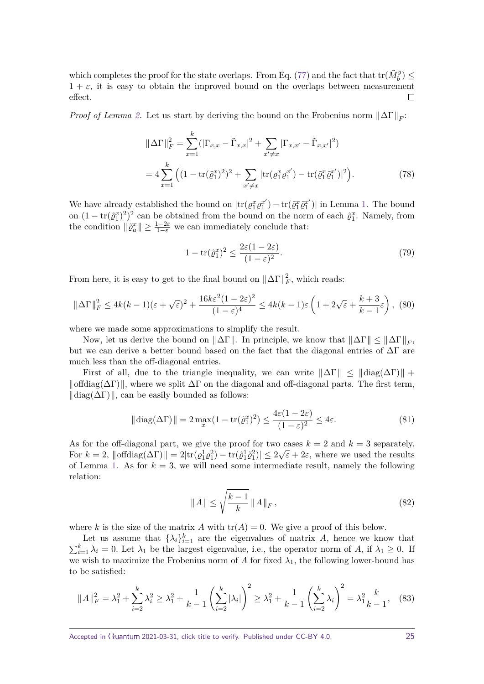which completes the proof for the state overlaps. From Eq. [\(77\)](#page-23-0) and the fact that  $\text{tr}(\tilde{M}^y_b) \leq$  $1 + \varepsilon$ , it is easy to obtain the improved bound on the overlaps between measurement effect.  $\Box$ 

*Proof of Lemma [2.](#page-15-1)* Let us start by deriving the bound on the Frobenius norm  $\|\Delta\Gamma\|_F$ :

$$
\|\Delta\Gamma\|_{F}^{2} = \sum_{x=1}^{k} (|\Gamma_{x,x} - \tilde{\Gamma}_{x,x}|^{2} + \sum_{x'\neq x} |\Gamma_{x,x'} - \tilde{\Gamma}_{x,x'}|^{2})
$$
  
=  $4 \sum_{x=1}^{k} \left( (1 - \text{tr}(\tilde{\varrho}_{1}^{x})^{2})^{2} + \sum_{x'\neq x} |\text{tr}(\varrho_{1}^{x}\varrho_{1}^{x'}) - \text{tr}(\tilde{\varrho}_{1}^{x}\tilde{\varrho}_{1}^{x'})|^{2} \right).$  (78)

We have already established the bound on  $|\text{tr}(\varrho_1^x \varrho_1^{x'} )|$  $\mathbf{r}^{x'}_{1}) - \mathrm{tr}(\tilde{\varrho}_{1}^{x}\tilde{\varrho}_{1}^{x'})$  $\binom{x'}{1}$  in Lemma [1.](#page-15-0) The bound on  $(1 - \text{tr}(\tilde{\varrho}_1^x)^2)^2$  can be obtained from the bound on the norm of each  $\tilde{\varrho}_1^x$ . Namely, from the condition  $\|\tilde{\varrho}_a^x\| \geq \frac{1-2\varepsilon}{1-\varepsilon}$  we can immediately conclude that:

$$
1 - \operatorname{tr}(\tilde{\varrho}_1^x)^2 \le \frac{2\varepsilon (1 - 2\varepsilon)}{(1 - \varepsilon)^2}.
$$
\n(79)

From here, it is easy to get to the final bound on  $\|\Delta\Gamma\|_F^2$ , which reads:

$$
\|\Delta\Gamma\|_F^2 \le 4k(k-1)(\varepsilon + \sqrt{\varepsilon})^2 + \frac{16k\varepsilon^2(1-2\varepsilon)^2}{(1-\varepsilon)^4} \le 4k(k-1)\varepsilon\left(1 + 2\sqrt{\varepsilon} + \frac{k+3}{k-1}\varepsilon\right),\tag{80}
$$

where we made some approximations to simplify the result.

Now, let us derive the bound on  $\|\Delta\Gamma\|$ . In principle, we know that  $\|\Delta\Gamma\| \le \|\Delta\Gamma\|_F$ , but we can derive a better bound based on the fact that the diagonal entries of  $\Delta\Gamma$  are much less than the off-diagonal entries.

First of all, due to the triangle inequality, we can write  $\|\Delta\Gamma\| \leq ||\text{diag}(\Delta\Gamma)|| +$  $\|\text{offdiag}(\Delta\Gamma)\|$ , where we split  $\Delta\Gamma$  on the diagonal and off-diagonal parts. The first term,  $\|\text{diag}(\Delta\Gamma)\|$ , can be easily bounded as follows:

$$
\|\operatorname{diag}(\Delta \Gamma)\| = 2 \max_{x} (1 - \operatorname{tr}(\tilde{\varrho}_1^x)^2) \le \frac{4\varepsilon (1 - 2\varepsilon)}{(1 - \varepsilon)^2} \le 4\varepsilon. \tag{81}
$$

As for the off-diagonal part, we give the proof for two cases  $k = 2$  and  $k = 3$  separately. For  $k = 2$ ,  $\|\text{offdiag}(\Delta \Gamma)\| = 2|\text{tr}(\varrho_1^1 \varrho_1^2) - \text{tr}(\tilde{\varrho}_1^1 \tilde{\varrho}_1^2)| \leq 2\sqrt{\varepsilon} + 2\varepsilon$ , where we used the results of Lemma [1.](#page-15-0) As for  $k = 3$ , we will need some intermediate result, namely the following relation:

<span id="page-24-0"></span>
$$
\|A\| \le \sqrt{\frac{k-1}{k}} \|A\|_F,\tag{82}
$$

where *k* is the size of the matrix *A* with  $tr(A) = 0$ . We give a proof of this below.

Let us assume that  $\{\lambda_i\}_{i=1}^k$  are the eigenvalues of matrix *A*, hence we know that  $\sum_{i=1}^{k} \lambda_i = 0$ . Let  $\lambda_1$  be the largest eigenvalue, i.e., the operator norm of *A*, if  $\lambda_1 \geq 0$ . If we wish to maximize the Frobenius norm of A for fixed  $\lambda_1$ , the following lower-bound has to be satisfied:

$$
||A||_F^2 = \lambda_1^2 + \sum_{i=2}^k \lambda_i^2 \ge \lambda_1^2 + \frac{1}{k-1} \left(\sum_{i=2}^k |\lambda_i|\right)^2 \ge \lambda_1^2 + \frac{1}{k-1} \left(\sum_{i=2}^k \lambda_i\right)^2 = \lambda_1^2 \frac{k}{k-1},\tag{83}
$$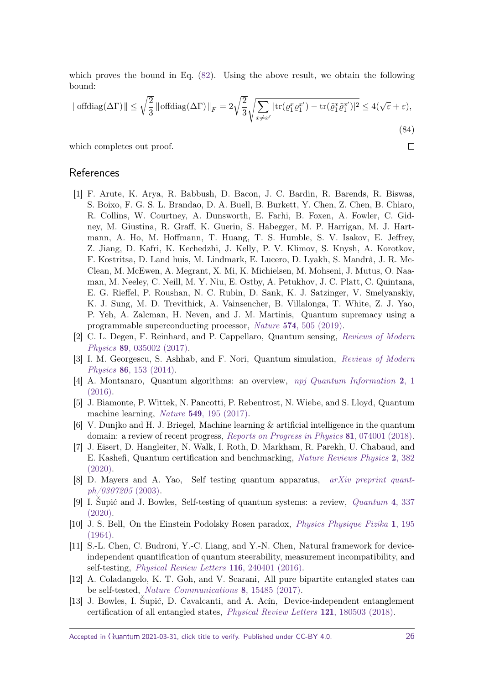which proves the bound in Eq. [\(82\)](#page-24-0). Using the above result, we obtain the following bound:

$$
\|\text{offdiag}(\Delta\Gamma)\| \le \sqrt{\frac{2}{3}} \|\text{offdiag}(\Delta\Gamma)\|_F = 2\sqrt{\frac{2}{3}} \sqrt{\sum_{x \ne x'} |\text{tr}(\varrho_1^x \varrho_1^{x'}) - \text{tr}(\tilde{\varrho}_1^x \tilde{\varrho}_1^{x'})|^2} \le 4(\sqrt{\varepsilon} + \varepsilon),\tag{84}
$$

which completes out proof.

#### References

- <span id="page-25-0"></span>[1] F. Arute, K. Arya, R. Babbush, D. Bacon, J. C. Bardin, R. Barends, R. Biswas, S. Boixo, F. G. S. L. Brandao, D. A. Buell, B. Burkett, Y. Chen, Z. Chen, B. Chiaro, R. Collins, W. Courtney, A. Dunsworth, E. Farhi, B. Foxen, A. Fowler, C. Gidney, M. Giustina, R. Graff, K. Guerin, S. Habegger, M. P. Harrigan, M. J. Hartmann, A. Ho, M. Hoffmann, T. Huang, T. S. Humble, S. V. Isakov, E. Jeffrey, Z. Jiang, D. Kafri, K. Kechedzhi, J. Kelly, P. V. Klimov, S. Knysh, A. Korotkov, F. Kostritsa, D. Land huis, M. Lindmark, E. Lucero, D. Lyakh, S. Mandrà, J. R. Mc-Clean, M. McEwen, A. Megrant, X. Mi, K. Michielsen, M. Mohseni, J. Mutus, O. Naaman, M. Neeley, C. Neill, M. Y. Niu, E. Ostby, A. Petukhov, J. C. Platt, C. Quintana, E. G. Rieffel, P. Roushan, N. C. Rubin, D. Sank, K. J. Satzinger, V. Smelyanskiy, K. J. Sung, M. D. Trevithick, A. Vainsencher, B. Villalonga, T. White, Z. J. Yao, P. Yeh, A. Zalcman, H. Neven, and J. M. Martinis, Quantum supremacy using a programmable superconducting processor, Nature 574[, 505 \(2019\).](http://doi.org/10.1038/s41586-019-1666-5)
- <span id="page-25-1"></span>[2] C. L. Degen, F. Reinhard, and P. Cappellaro, Quantum sensing, [Reviews of Modern](http://doi.org/10.1103/RevModPhys.89.035002) Physics 89[, 035002 \(2017\).](http://doi.org/10.1103/RevModPhys.89.035002)
- <span id="page-25-2"></span>[3] I. M. Georgescu, S. Ashhab, and F. Nori, Quantum simulation, [Reviews of Modern](http://doi.org/10.1103/RevModPhys.86.153) Physics 86[, 153 \(2014\).](http://doi.org/10.1103/RevModPhys.86.153)
- <span id="page-25-3"></span>[4] A. Montanaro, Quantum algorithms: an overview, [npj Quantum Information](http://doi.org/10.1038/npjqi.2015.23) 2, 1 [\(2016\).](http://doi.org/10.1038/npjqi.2015.23)
- <span id="page-25-4"></span>[5] J. Biamonte, P. Wittek, N. Pancotti, P. Rebentrost, N. Wiebe, and S. Lloyd, Quantum machine learning, Nature 549[, 195 \(2017\).](http://doi.org/10.1038/nature23474)
- <span id="page-25-5"></span>[6] V. Dunjko and H. J. Briegel, Machine learning & artificial intelligence in the quantum domain: a review of recent progress, [Reports on Progress in Physics](http://doi.org/10.1088/1361-6633/aab406) 81, 074001 (2018).
- <span id="page-25-6"></span>[7] J. Eisert, D. Hangleiter, N. Walk, I. Roth, D. Markham, R. Parekh, U. Chabaud, and E. Kashefi, Quantum certification and benchmarking, [Nature Reviews Physics](https://doi.org/10.1038/s42254-020-0186-4) 2, 382 [\(2020\).](https://doi.org/10.1038/s42254-020-0186-4)
- <span id="page-25-7"></span>[8] D. Mayers and A. Yao, Self testing quantum apparatus, [arXiv preprint quant](https://arxiv.org/abs/quant-ph/0307205)[ph/0307205](https://arxiv.org/abs/quant-ph/0307205) (2003).
- <span id="page-25-8"></span>[9] I. Šupić and J. Bowles, Self-testing of quantum systems: a review, [Quantum](https://doi.org/10.22331/q-2020-09-30-337) 4, 337 [\(2020\).](https://doi.org/10.22331/q-2020-09-30-337)
- <span id="page-25-9"></span>[10] J. S. Bell, On the Einstein Podolsky Rosen paradox, [Physics Physique Fizika](https://doi.org/10.1103/PhysicsPhysiqueFizika.1.195) 1, 195 [\(1964\).](https://doi.org/10.1103/PhysicsPhysiqueFizika.1.195)
- <span id="page-25-10"></span>[11] S.-L. Chen, C. Budroni, Y.-C. Liang, and Y.-N. Chen, Natural framework for deviceindependent quantification of quantum steerability, measurement incompatibility, and self-testing, *[Physical Review Letters](https://doi.org/10.1103/PhysRevLett.116.240401)* **116**, 240401 (2016).
- [12] A. Coladangelo, K. T. Goh, and V. Scarani, All pure bipartite entangled states can be self-tested, [Nature Communications](https://doi.org/10.1038/ncomms15485) 8, 15485 (2017).
- <span id="page-25-11"></span>[13] J. Bowles, I. Šupić, D. Cavalcanti, and A. Acín, Device-independent entanglement certification of all entangled states, [Physical Review Letters](https://doi.org/10.1103/PhysRevLett.121.180503) 121, 180503 (2018).

Accepted in  $\lambda$ uantum 2021-03-31, click title to verify. Published under CC-BY 4.0. 26

 $\Box$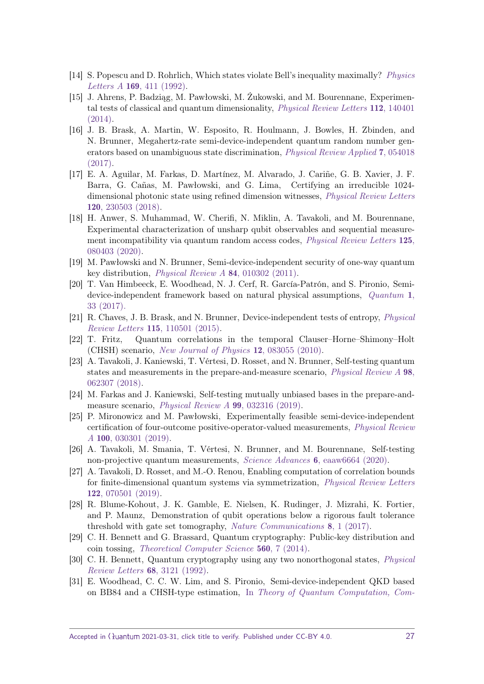- <span id="page-26-0"></span>[14] S. Popescu and D. Rohrlich, Which states violate Bell's inequality maximally? [Physics](https://doi.org/10.1016/0375-9601(92)90819-8) Letters A 169[, 411 \(1992\).](https://doi.org/10.1016/0375-9601(92)90819-8)
- <span id="page-26-1"></span>[15] J. Ahrens, P. Badziąg, M. Pawłowski, M. Żukowski, and M. Bourennane, Experimental tests of classical and quantum dimensionality, [Physical Review Letters](http://doi.org/10.1103/PhysRevLett.112.140401) 112, 140401 [\(2014\).](http://doi.org/10.1103/PhysRevLett.112.140401)
- <span id="page-26-4"></span>[16] J. B. Brask, A. Martin, W. Esposito, R. Houlmann, J. Bowles, H. Zbinden, and N. Brunner, Megahertz-rate semi-device-independent quantum random number generators based on unambiguous state discrimination, [Physical Review Applied](http://doi.org/10.1103/PhysRevApplied.7.054018) 7, 054018 [\(2017\).](http://doi.org/10.1103/PhysRevApplied.7.054018)
- [17] E. A. Aguilar, M. Farkas, D. Martínez, M. Alvarado, J. Cariñe, G. B. Xavier, J. F. Barra, G. Cañas, M. Pawłowski, and G. Lima, Certifying an irreducible 1024 dimensional photonic state using refined dimension witnesses, [Physical Review Letters](http://doi.org/10.1103/PhysRevLett.120.230503) 120[, 230503 \(2018\).](http://doi.org/10.1103/PhysRevLett.120.230503)
- <span id="page-26-2"></span>[18] H. Anwer, S. Muhammad, W. Cherifi, N. Miklin, A. Tavakoli, and M. Bourennane, Experimental characterization of unsharp qubit observables and sequential measurement incompatibility via quantum random access codes, *[Physical Review Letters](http://doi.org/10.1103/PhysRevLett.125.080403)* 125, [080403 \(2020\).](http://doi.org/10.1103/PhysRevLett.125.080403)
- <span id="page-26-3"></span>[19] M. Pawłowski and N. Brunner, Semi-device-independent security of one-way quantum key distribution, [Physical Review A](http://doi.org/10.1103/PhysRevA.84.010302) 84, 010302 (2011).
- <span id="page-26-5"></span>[20] T. Van Himbeeck, E. Woodhead, N. J. Cerf, R. García-Patrón, and S. Pironio, Semidevice-independent framework based on natural physical assumptions, [Quantum](http://doi.org/10.22331/q-2017-11-18-33) 1, [33 \(2017\).](http://doi.org/10.22331/q-2017-11-18-33)
- <span id="page-26-6"></span>[21] R. Chaves, J. B. Brask, and N. Brunner, Device-independent tests of entropy, [Physical](http://doi.org/10.1103/PhysRevLett.115.110501) Review Letters 115[, 110501 \(2015\).](http://doi.org/10.1103/PhysRevLett.115.110501)
- <span id="page-26-7"></span>[22] T. Fritz, Quantum correlations in the temporal Clauser–Horne–Shimony–Holt (CHSH) scenario, [New Journal of Physics](https://doi.org/10.1088/1367-2630/12/8/083055) 12, 083055 (2010).
- <span id="page-26-8"></span>[23] A. Tavakoli, J. Kaniewski, T. Vértesi, D. Rosset, and N. Brunner, Self-testing quantum states and measurements in the prepare-and-measure scenario, [Physical Review A](https://doi.org/10.1103/PhysRevA.98.062307) 98, [062307 \(2018\).](https://doi.org/10.1103/PhysRevA.98.062307)
- <span id="page-26-9"></span>[24] M. Farkas and J. Kaniewski, Self-testing mutually unbiased bases in the prepare-andmeasure scenario, [Physical Review A](https://doi.org/10.1103/PhysRevA.99.032316) 99, 032316 (2019).
- <span id="page-26-10"></span>[25] P. Mironowicz and M. Pawłowski, Experimentally feasible semi-device-independent certification of four-outcome positive-operator-valued measurements, [Physical Review](http://doi.org/10.1103/PhysRevA.100.030301) A 100[, 030301 \(2019\).](http://doi.org/10.1103/PhysRevA.100.030301)
- <span id="page-26-11"></span>[26] A. Tavakoli, M. Smania, T. Vértesi, N. Brunner, and M. Bourennane, Self-testing non-projective quantum measurements, Science Advances 6[, eaaw6664 \(2020\).](https://doi.org/10.1126/sciadv.aaw6664 )
- <span id="page-26-12"></span>[27] A. Tavakoli, D. Rosset, and M.-O. Renou, Enabling computation of correlation bounds for finite-dimensional quantum systems via symmetrization, [Physical Review Letters](http://doi.org/10.1103/PhysRevLett.122.070501) 122[, 070501 \(2019\).](http://doi.org/10.1103/PhysRevLett.122.070501)
- <span id="page-26-13"></span>[28] R. Blume-Kohout, J. K. Gamble, E. Nielsen, K. Rudinger, J. Mizrahi, K. Fortier, and P. Maunz, Demonstration of qubit operations below a rigorous fault tolerance threshold with gate set tomography, [Nature Communications](http://doi.org/10.1038/ncomms14485) 8, 1 (2017).
- <span id="page-26-14"></span>[29] C. H. Bennett and G. Brassard, Quantum cryptography: Public-key distribution and coin tossing, [Theoretical Computer Science](https://doi.org/10.1016/j.tcs.2014.05.025) 560, 7 (2014).
- <span id="page-26-15"></span>[30] C. H. Bennett, Quantum cryptography using any two nonorthogonal states, [Physical](http://doi.org/10.1103/PhysRevLett.68.3121) [Review Letters](http://doi.org/10.1103/PhysRevLett.68.3121) 68, 3121 (1992).
- <span id="page-26-16"></span>[31] E. Woodhead, C. C. W. Lim, and S. Pironio, Semi-device-independent QKD based on BB84 and a CHSH-type estimation, In [Theory of Quantum Computation, Com-](https://doi.org/10.1007/978-3-642-35656-8_9)